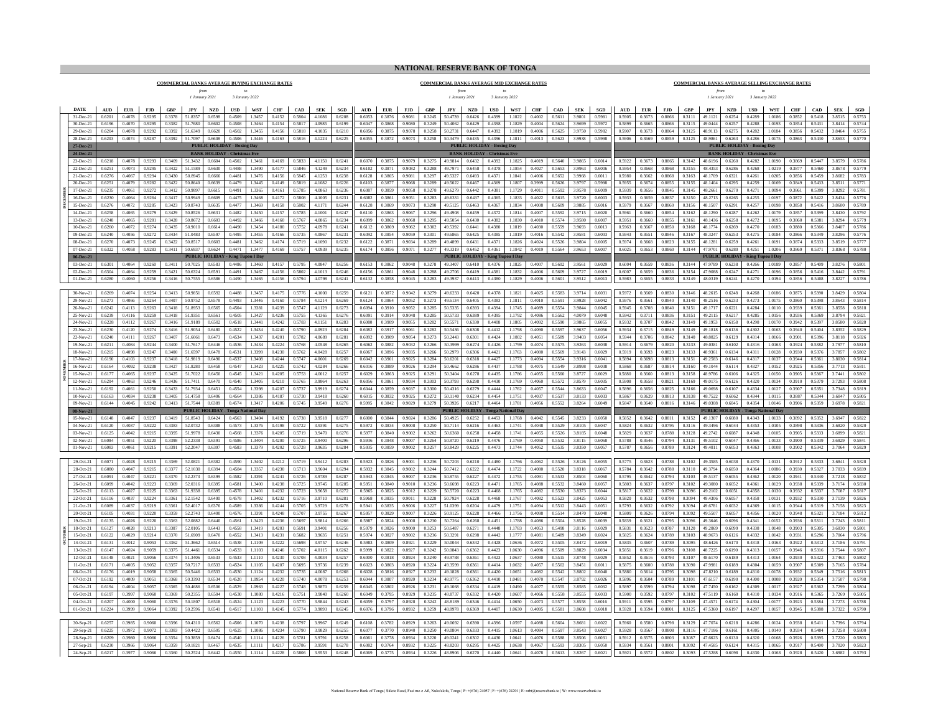## **NATIONAL RESERVE BANK OF TONGA**

**COMMERCIAL BANKS AVERAGE BUYING EXCHANGE RATES**

## **COMMERCIAL BANKS AVERAGE MID EXCHANGE RATES**

## **COMMERCIAL BANKS AVERAGE SELLING EXCHANGE RATES**

|                          |                  |                         |                  |                  | 1 January 2021                      |                              | 3 January 2022                                     |                     |                  |                      |                  |                  |                  |                  |                  |                         | 1 January 2021                      |                  | 3 January 2022                             |                     |                  |                  |                             |                  |                                  |                                |                                |                                            | 1 January 2021                 |                          | 3 January 2022                                     |                  |                         |                  |                  |                  |
|--------------------------|------------------|-------------------------|------------------|------------------|-------------------------------------|------------------------------|----------------------------------------------------|---------------------|------------------|----------------------|------------------|------------------|------------------|------------------|------------------|-------------------------|-------------------------------------|------------------|--------------------------------------------|---------------------|------------------|------------------|-----------------------------|------------------|----------------------------------|--------------------------------|--------------------------------|--------------------------------------------|--------------------------------|--------------------------|----------------------------------------------------|------------------|-------------------------|------------------|------------------|------------------|
| <b>DATE</b>              | AUD              | EUR FJD                 |                  | GBP              | JPY                                 | <b>NZD</b>                   |                                                    | USD WST             | CHF              | CAD                  | <b>SEK</b>       | SGD              | AUD <b>AU</b>    | EUR              | FJD              | GBP                     | JPY                                 | <b>NZD</b>       | $_{\rm USD}$                               | <b>WST</b>          | CHF              |                  |                             | CAD SEK SGD      | $\mathbf{A}\mathbf{U}\mathbf{D}$ |                                | EUR FJD                        | GBP                                        | $_{\mathrm{JPY}}$ $\qquad$ NZD |                          | <b>USD</b>                                         | WST              | CHF                     | $\bf CAD$        | <b>SEK</b>       | SGD              |
| 31-Dec-21                | 0.6201           | 0.4078                  | 0.9295           | 0.3378           | 51.8357                             | 0.6598                       | 0.4509                                             | 13457               | 0.4152           | 0.5804               | 4 1086           | 0.6208           | 0.6053           | 0.3876           | 0.9081           | 0.3245                  | 50.4739                             | 0.6426           | 0.4399                                     | 1 1822              | 0.4002           | 0.5611           | 3.9801                      | 0.5981           | 0.5905                           | 0.3673                         | 0.8866                         | 0.3111                                     | 49 1121                        | 0.6254                   | 0.4289                                             | 1.0186           | 0.3852                  | 0.5418           | 3.8515           | 0.5753           |
| 30-Dec-21                | 0.6196           | 0.4070                  | 0.9295           | 0.3382           | 51,7680                             | 0.6602                       | 0.4508                                             | 1.3464              | 0.4154           | 0.5817               | 4.0985           | 0.6199           | 0.6047           | 0.3868           | 0.9080           | 0.3249                  | 50.4062                             | 0.6429           | 0.4398                                     | 1.1829              | 0.4004           | 0.5624           | 3.9699                      | 0.5972           | 0.5899                           | 0.3665                         | 0.8866                         | 0.3115                                     | 49,0444                        | 0.6257                   | 0.4288                                             | 1.0193           | 0.3854                  | 0.5431           | 3.8414           | 0.5744           |
| 29-Dec-21<br>28-Dec-21   | 0.6204<br>0.6203 | 0.4078<br>0.4074 0.9287 | 0.9292           | 0.3392<br>0.3392 | 51.6349<br>51.7097   0.6608         | 0.6620                       | 0.4502<br>0.4506                                   | 1.3455<br>1.3446    | 0.4156<br>0.4163 | 0.5818<br>0.5816     | 4.1035<br>4.1224 | 0.6210<br>0.6225 | 0.6056<br>0.6055 | 0.3875<br>0.3872 | 0.9078           | 0.3258<br>0.9073 0.3258 | 50.2731<br>50,3479                  | 0.6447<br>0.6435 | 0.4392<br>0.4396                           | 1.1819<br>1.1811    | 0.4006<br>0.4013 | 0.5625<br>0.5623 | 3.9750<br>3.9938 0.5998     | 0.5982           | 0.5907                           | 0.3673                         | 0.8864<br>0.5906 0.3669 0.8859 | 0.3125<br>0.3125                           | 48.9113<br>48.9861 0.6263      | 0.6275                   | 0.4282<br>0.4286                                   | 1.0184<br>1.0175 | 0.3856<br>0.3863 0.5430 | 0.5432           | 3,8464<br>3.8653 | 0.5755<br>0.5770 |
| 27-Dec-21                |                  |                         |                  |                  |                                     |                              | <b>PUBLIC HOLIDAY - Boxing Day</b>                 |                     |                  |                      |                  |                  |                  |                  |                  |                         |                                     |                  | <b>PUBLIC HOLIDAY - Boxing Day</b>         |                     |                  |                  |                             |                  |                                  |                                |                                |                                            |                                |                          | <b>PUBLIC HOLIDAY - Boxing Day</b>                 |                  |                         |                  |                  |                  |
| 24-Dec-21                |                  |                         |                  |                  |                                     |                              | <b>BANK HOLIDAY - Christmas Eve</b>                |                     |                  |                      |                  |                  |                  |                  |                  |                         |                                     |                  | <b>BANK HOLIDAY - Christmas Eve</b>        |                     |                  |                  |                             |                  |                                  |                                |                                |                                            |                                |                          | <b>BANK HOLIDAY - Christmas Eve</b>                |                  |                         |                  |                  |                  |
| 23-Dec-21                | 0.6218           | 0.4078                  | 0.9293           | 0.3409           | 51.3432                             | 0.6604                       | 0.4502                                             | 1.3461              | 0.4169           | 0.5833               | 4.1150           | 0.6241           | 0.6070           | 0.3875           | 0.9079           | 0.3275                  | 49.9814                             | 0.6432           | 0.4392                                     | 1.1825              | 0.4019           | 0.5640           | 3.9865                      | 0.6014           | 0.5922                           | 0.3673                         | 0.8865                         | 0.3142                                     | 48.6196                        | 0.6260                   | 0.4282                                             | 1.0190           | 0.3869                  | 0.5447           | 3.8579           | 0.5786           |
| 22-Dec-21                | 0.6251           | 0.4073                  | 0.9295           | 0.3422           | 51.1589                             | 0.6630                       | 0.4488                                             | 1.3490              | 0.4177           | 0.5846               | 4.1249           | 0.6234           | 0.6102           | 0.3871<br>0.3865 | 0.9082           | 0.3288                  | 49.7971                             | 0.6458           | 0.4378                                     | 1.1854              | 0.4027           | 0.5653           | 3.9963                      | 0.6006           | 0.5954<br>0.5980                 | 0.3668                         | 0.8868                         | 0.3155                                     | 48.4353                        | 0.6286                   | 0.4268                                             | 1.0219           | 0.3877                  | 0.5460           | 3.8678           | 0.5779           |
| 21-Dec-21<br>20-Dec-21   | 0.6276<br>0.6251 | 0.4067<br>0.4079        | 0.9294<br>0.9282 | 0.3430<br>0.3422 | 50.8945<br>50 8640                  | 0.6666<br>0.6639             | 0.4481<br>0.4479                                   | 1.3476<br>1.3445    | 0.4156<br>0.4149 | 0.5845<br>0.5819     | 4.1253<br>4.1082 | 0.6238<br>0.6226 | 0.6128<br>0.6103 | 0.3877           | 0.9081<br>0.9068 | 0.3297<br>0.3289        | 49.5327<br>49.5022                  | 0.6493<br>0.6467 | 0.4371<br>0.4369                           | 1.1841<br>1.1807    | 0.4006<br>0.3999 | 0.5652<br>0.5626 | 3.9968 0.6011<br>3.9797     | 0.5998           | 0.5955                           | 0.3662<br>0.3674               | 0.8868<br>0.8855               | 0.3163<br>0.3155                           | 48.1709<br>48.1404             | 0.6321<br>0.6295         | 0.4261<br>0.4259                                   | 1.0205<br>1.0169 | 0.3856<br>0.3849        | 0.5459<br>0.5433 | 3.8682<br>3.8511 | 0.5783<br>0.5771 |
| 17-Dec-21                | 0.6235           | 0.4061                  | 0.9272           | 0.3412           | 50.9897                             | 0.6615                       | 0.4491                                             | 1.3365              | 0.4161           | 0.5785               | 4.0863           | 0.6236           | 0.6087           | 0.3859           | 0.9058           | 0.3278                  | 49.6279                             | 0.6442           | 0.4381                                     | 1.1729              | 0.4011           | 0.5592           | 3.9578                      | 0.6009           | 0.5939                           | 0.3656                         | 0.8845                         | 0.3145                                     | 48.2661                        | 0.6270                   | 0.4271                                             | 1.0094           | 0.3861                  | 0.5399           | 3.8292           | 0.5781           |
| 16-Dec-21                | 0.6230           | 0.4064                  | 0.9264           | 0.3417           | 50 9949                             | 0.6609                       | 0.4475                                             | 1.3468              | 0.4172           | 0.5808               | 4 1005           | 0.6231           | 0.6082           | 0.3861           | 0.9051           | 0.3283                  | 49.6331                             | 0.6437           | 0.4365                                     | 11833               | 0.4022           | 0.5615           | 3.9720                      | 0.6003           | 0.5933                           | 0.3659                         | 0.8837                         | 0.3150                                     | 48.2713                        | 0.6265                   | 0.4255                                             | 10197            | 0.3872                  | 0.5422           | 3 8434           | 0.5776           |
| 15-Dec-21                | 0.6276           | 0.4072                  | 0.9285           | 0.3423           | 50.8743                             | 0.6635                       | 0.4477                                             | 1.3469              | 0.4158           | 0.5802               | 4 1 1 7 1        | 0.6244           | 0.6128           | 0.3869           | 0.9073           | 0.3290                  | 49.5125                             | 0.6463           | 0.4367                                     | 1 1834              | 0.4008           | 0.5609           | 3 9885                      | 0.6016           | 0.5979                           | 0.3667                         | 0.8860                         | 0.3156                                     | 48 1507                        | 0.6291                   | 0.4257                                             | 1.0198           | 0.3858                  | 0.5416           | 3.8600           | 0.5789           |
| 14-Dec-21<br>13-Dec-21   | 0.6258<br>0.6248 | 0.4065<br>0.4065        | 0.9279<br>0.9281 | 0.3429<br>0.3428 | 50.8526<br>50.8672                  | 0.6631<br>0.6603             | 0.4482<br>0.4492                                   | 1.3450<br>1.3466    | 0.4157<br>0.4160 | 0.5785<br>0.5767     | 4 1001<br>4.0865 | 0.6247<br>0.6234 | 0.6110<br>0.6099 | 0.3863<br>0.3862 | 0.9067<br>0.9068 | 0.3296<br>0.3295        | 49 4908<br>49.5054                  | 0.6459<br>0.6430 | 0.4372<br>0.4382                           | 1 1814<br>1.1830    | 0.4007<br>0.4010 | 0.5592<br>0.5574 | 39715<br>3.9580             | 0.6020<br>0.600  | 0.5961<br>0.5951                 | 0.3660<br>0.3660               | 0.8854<br>0.8855               | 0.3162<br>0.3161                           | 48 1290<br>48 1436             | 0.6287<br>0.6258         | 0.4262<br>0.4272                                   | 10179<br>1.0195  | 0.3857<br>0.3860        | 0.5399<br>0.5381 | 3 8430<br>38294  | 0.5792<br>0.5779 |
| 10-Dec-21                | 0.6260           | 0.4072                  | 0.9274           | 0.3435           | 50.9010                             | 0.6614                       | 0.4490                                             | 1.3454              | 0.4180           | 0.5752               | 4 0978           | 0.6241           | 0.6112           | 0.3869           | 0.9062           | 0.3302                  | 49.5392                             | 0.6441           | 0.4380                                     | 1.1819              | 0.4030           | 0.5559           | 3.9693                      | 0.601            | 0.5963                           | 0.3667                         | 0.8850                         | 0.3168                                     | 48 1774                        | 0.6269                   | 0.4270                                             | 10183            | 0.3880                  | 0.5366           | 3 840            | 0.5786           |
| 09-Dec-21                | 0.6240           | 0.4056                  | 0.9272           | 0.3434           | 51.0483                             | 0.6597                       | 0.4495                                             | 1.3455              | 0.4166           | 0.5735               | 4.0867           | 0.6231           | 0.6092           | 0.3854           | 0.9059           | 0.3301                  | 49 6865                             | 0.6425           | 0.4385                                     | 11819               | 0.4016           | 0.5542           | 3 9581                      | 0.600            | 0.5943                           | 0.3651                         | 0.8846                         | 0.3167                                     | 48 3247                        | 0.6253                   | 0.4275                                             | 10184            | 0.3866                  | 0.5349           | 38296            | 0.5776           |
| 08-Dec-21                | 0.6270           | 0.4073                  | 0.9245           | 0.3422           | 50.8517                             | 0.6603                       | 0.4481                                             | 1.3462              | 0.4174           | 0.5719               | 4.1090           | 0.6232           | 0.6122           | 0.3871           | 0.9034           | 0.3289                  | 49.4899                             | 0.6431           | 0.4371                                     | 1.1826              | 0.4024           | 0.5526           | 3.9804                      | 0.600            | 0.5974                           | 0.3668                         | 0.8823                         | 0.3155                                     | 48.1281                        | 0.6259                   | 0.4261                                             | 1.0191           | 0.3874                  | 0.5333           | 3.8519           | 0.5777           |
| 07-Dec-21                | 0.6322           | 0.4058                  | 0.9283           | 0.3411           | 50.6937                             | 0.6624                       | 0.4471<br><b>PUBLIC HOLIDAY - King Tupou I Day</b> | 1.3477              | 0.4169           | 0.5757               | 4.0939           | 0.6235           | 0.6174           | 0.3856           | 0.9071           | 0.3277                  | 49.3319                             | 0.6452           | 0.4361<br><b>PUBLIC HOLIDAY - King Tup</b> | 1.1842              | 0.4019           | 0.5564           | 3.9653                      | 0.6007           | 0.6025                           | 0.3653                         | 0.8860                         | 0.3144                                     | 47 9701                        | 0.6280                   | 0.4251                                             | 1.0206           | 0.3869                  | 0.5371           | 3.8368           | 0.5780           |
| 06-Dec-21<br>03-Dec-21   | 0.6301           |                         |                  |                  | 0.4064 0.9260 0.3411 50.7025 0.6583 |                              | 0.4486                                             |                     |                  | 1.3460 0.4157 0.5795 | 4.0847 0.6256    |                  |                  |                  |                  |                         | 0.6153 0.3862 0.9048 0.3278 49.3407 |                  | 0.6410 0.4376                              | 1.1825              |                  |                  | 0.4007 0.5602 3.9561 0.6029 |                  |                                  |                                |                                | 0.6004 0.3659 0.8836 0.3144 47.9789 0.6238 |                                |                          | <b>PUBLIC HOLIDAY - King Tupou I Day</b><br>0.4266 | 1.0189           | 0.3857 0.5409           |                  | 38276            | 0.5801           |
| $02 - Dec - 21$          | 0.6304           | 0.4064                  | 0.9259           | 0.3421           | 50.6324 0.6591                      |                              | 0.4491                                             | 1.3467              | 0.4156           | 0.5802               | 4.1013           | 0.6246           | 0.6156           | 0.3861           |                  | 0.9048 0.3288           | 49.2706                             | 0.6419           | 0.4381                                     | 1.1832              | 0.4006           | 0.5609           | 3.9727                      | 0.6019           |                                  | 0.6007 0.3659                  | 0.8836                         | 0.3154                                     | 47 9088                        | 0.6247                   | 0.4271                                             | 1.0196           | 0.3856                  | 0.5416           | 3 8442           | 0.5791           |
| 01-Dec-21                | 0.6280           | 0.4060                  | 0.9256           | 0.3416           | 50.7555 0.6586                      |                              | 0.4490                                             | 1.3465              | 0.4156           | 0.5794               | 4.0798           | 0.6241           | 0.6132           | 0.3858           |                  | $0.9045$ 0.3283         | 49,3937                             | 0.6413           | 0.4380                                     | 1.1829              | 0.4006           | 0.5601           | 3.9512                      | 0.6013           |                                  | 0.5983 0.3655 0.8833           |                                | 0.3149                                     | 48.0319                        | 0.6241                   | 0.4270                                             | 1.0194           | 0.3856                  | 0.5408           | 3.8227           | 0.5786           |
|                          |                  |                         |                  |                  |                                     |                              |                                                    |                     |                  |                      |                  |                  |                  |                  |                  |                         |                                     |                  |                                            |                     |                  |                  |                             |                  |                                  |                                |                                |                                            |                                |                          |                                                    |                  |                         | 0.5390           |                  |                  |
| 30-Nov-21<br>29-Nov-21   | 0.6269<br>0.6273 | 0.4074<br>0.4066        | 0.9254<br>0.9264 | 0.3413<br>0.3407 | 50.9851<br>50.9752                  | 0.6592<br>0.6578             | 0.4488<br>0.4493                                   | 1.3457<br>1.3446    | 0.4175<br>0.4160 | 0.5776<br>0.5784     | 4.1000<br>4.1214 | 0.6259<br>0.6269 | 0.6121<br>0.6124 | 0.3872<br>0.3864 | 0.9042<br>0.9052 | 0.3279<br>0.3273        | 49.6233<br>49.6134                  | 0.6420<br>0.6405 | 0.4378<br>0.4383                           | 1.1821<br>1.1811    | 0.4025<br>0.4010 | 0.5583<br>0.5591 | 3.9714<br>3.9928            | 0.6031<br>0.6042 | 0.5972<br>0.5976                 | 0.3669<br>0.3661               | 0.8830<br>0.8840               | 0.3146<br>0.3140                           | 48.2615<br>48.2516             | 0.6248<br>0.6233         | 0.4268<br>0.4273                                   | 1.0186<br>1.0175 | 0.3875<br>0.3860        | 0.5398           | 3.8429<br>3.8643 | 0.5804<br>0.5814 |
| 26-Nov-21                | 0.6242           | 0.4113                  | 0.9263           | 0.3418           | 51.8953                             | 0.6565                       | 0.4504                                             | 1.3381              | 0.4239           | 0.5747               | 4.1129           | 0.6273           | 0.6094           | 0.3910           | 0.9052           | 0.3285                  | 50.5335                             | 0.6393           | 0.4394                                     | 1.1745              | 0.4089           | 0.5554           | 3.9844                      | 0.6045           | 0.5945                           | 0.3708                         | 0.8840                         | 0.3151                                     | 49.1717                        | 0.6221                   | 0.4284                                             | 1.0110           | 0.3939                  | 0.5361           | 3.8558           | 0.5818           |
| 25-Nov-21                | 0.6239           | 0.4116                  | 0.9259           | 0.3418           | 51.9351                             | 0.6561                       | 0.4505                                             | 1.3427              | 0.4236           | 0.5755               | 4.1365           | 0.6276           | 0.6091           | 0.3914           | 0.9048           | 0.3285                  | 50.5733                             | 0.6389           | 0.4395                                     | 1.1792              | 0.4086           | 0.5562           | 4.0079                      | 0.6048           | 0.5942                           | 0.3711                         | 0.8836                         | 0.3151                                     | 49.2115                        | 0.6217                   | 0.4285                                             | 1.0156           | 0.3936                  | 0.5369           | 3.8794           | 0.5821           |
| 24-Nov-21                | 0.6228           | 0.4112                  | 0.9267           | 0.3416           | 51.9189                             | 0.6502                       | 0.4518                                             | 1.3441              | 0.4242           | 0.5783               | 4.1151           | 0.6283           | 0.6080           | 0.3909           | 0.9055           | 0.3282                  | 50.5571                             | 0.6330           | 0.4408                                     | 1.1805              | 0.4092           | 0.5590           | 3.9865                      | 0.6055           | 0.5932                           | 0.3707                         | 0.8842                         | 0.3149                                     | 49.1953                        | 0.6158                   | 0.4298                                             | 1.0170           | 0.3942                  | 0.5397           | 3.8580           | 0.5828           |
| 23-Nov-21<br>$22-Nov-21$ | 0.6230<br>0.6240 | 0.4120<br>0.4111        | 0.9274<br>0.9267 | 0.3416<br>0.3407 | 51 9054<br>51.6061                  | 0.6480<br>0.6473             | 0.4522<br>0.4534                                   | 13434<br>13437      | 0.4240<br>0.4201 | 0.5790<br>0.5782     | 4.0923<br>4.0689 | 0.6284<br>0.6281 | 0.6082<br>0.6092 | 0.3917<br>0.3909 | 0.9061<br>0.9054 | 0.3282<br>0.3273        | 50.5436<br>50.2443                  | 0.6308<br>0.6301 | 0.4412<br>0.4424                           | 1.1798<br>1.1802    | 0.4090<br>0.4051 | 0.5597<br>0.5589 | 3.9637<br>3.9403            | 0.6056<br>0.6054 | 0.5934<br>0.5944                 | 0.3715<br>0.3706               | 0.8849<br>0.8842               | 0.3149<br>0.3140                           | 49.1818<br>48 8825             | 0.6136<br>0.6129         | 0.4302<br>0.4314                                   | 1.0163<br>1.0166 | 0.3940<br>0.3901        | 0.5404<br>0.5396 | 38352<br>3.8118  | 0.5829<br>0.5826 |
| 19-Nov-21                | 0.6211           | 0.4084                  | 0.9244           | 0.3400           | 51.7617                             | 0.6446                       | 0.4536                                             | 13434               | 0.4224           | 0.5768               | 4.0548           | 0.6265           | 0.6062           | 0.3882           | 0.9032           | 0.3266                  | 50.3999                             | 0.6274           | 0.4426                                     | 1.1799              | 0.4074           | 0.5575           | 3.9263                      | 0.6038           | 0.5914                           | 0.3679                         | 0.8820                         | 0.3133                                     | 49.0381                        | 0.6102                   | 0.4316                                             | 1.0163           | 0.3924                  | 0.5382           | 3.7977           | 0.5810           |
| 18-Nov-21                | 0.6215           | 0.4098                  | 0.9247           | 0.3400           | 51.6597                             | 0.6478                       | 0.4531                                             | 1.3399              | 0.4230           | 0.5762               | 4.0428           | 0.6257           | 0.6067           | 0.3896           | 0.9035           | 0.3266                  | 50.2979                             | 0.6306           | 0.4421                                     | 1.1763              | 0.4080           | 0.5569           | 3.9143                      | 0.6029           | 0.5919                           | 0.3693                         | 0.8823                         | 0.3133                                     | 48 9361                        | 0.6134                   | 0.4311                                             | 1.0128           | 0.3930                  | 0.5376           | 3.7853           | 0.5802           |
| 17-Nov-21                | 0.6190           | 0.4103                  | 0.9237           | 0.3418           | 51.9819                             | 0.6490                       | 0.4537                                             | 1.3408              | 0.4244           | 0.5747               | 4.0601           | 0.6269           | 0.6042           | 0.3901           | 0.9025           | 0.3284                  | 50.6201                             | 0.6318           | 0.4427                                     | 11773               | 0.4094           | 0.5554           | 3.9316                      | 0.6041           | 0.5894                           | 0.3698                         | 0.8813                         | 0.3151                                     | 49.2583                        | 0.6146                   | 0.4317                                             | 10137            | 0.3944                  | 0.5361           | 3.8030           | 0.5814           |
| 16-Nov-21<br>15-Nov-21   | 0.6164<br>0.6177 | 0.4092<br>0.4065        | 0.9238<br>0.9237 | 0.3427<br>0.3425 | 51.8280<br>51.7022                  | 0.6458<br>0.6450             | 0.4547<br>0.4545                                   | 1.3423<br>1.3421    | 0.4225<br>0.4205 | 0.5742<br>0.5753     | 4.0284<br>4.0012 | 0.6266<br>0.6257 | 0.6016<br>0.6029 | 0.3889<br>0.3863 | 0.9026<br>0.9025 | 0.3294<br>0.3291        | 50.4662<br>50.3404                  | 0.6286<br>0.6278 | 0.4437<br>0.4435                           | 1.1788<br>1.1786    | 0.4075<br>0.4055 | 0.5549<br>0.5560 | 3.8998<br>3.8727            | 0.6038<br>0.6029 | 0.5868<br>0.5880                 | 0.3687<br>0.3660               | 0.8814<br>0.8813               | 0.3160<br>0.3158                           | 49.1044<br>48.9786             | 0.6114<br>0.6106         | 0.4327<br>0.4325                                   | 1.0152<br>1.0150 | 0.3925<br>0.3905        | 0.5356<br>0.5367 | 3.7713<br>3.7441 | 0.581<br>0.5802  |
| $12-Nov-21$              | 0.6204           | 0.4063                  | 0.9246           | 0.3436           | 51 7411                             | 0.6470                       | 0.4540                                             | 1.3405              | 0.4210           | 0.5765               | 3 9864           | 0.6263           | 0.6056           | 0.3861           | 0.9034           | 0.3303                  | 50.3793                             | 0.6298           | 0.4430                                     | 1 1769              | 0.4060           | 0.5572           | 38579                       | 0.6035           | 0.5908                           | 0.3658                         | 0.8821                         | 0.3169                                     | 49.0175                        | 0.6126                   | 0.4320                                             | 10134            | 0.3910                  | 0.5379           | 37293            | 0.5808           |
| $11-Nov-21$              | 0.6192           | 0.4061                  | 0.9250           | 0.3433           | 51 7934                             | 0.6451                       | 0.4554                                             | 1.3398              | 0.4207           | 0.5737               | 3 9 9 1 9        | 0.6274           | 0.6044           | 0.3859           | 0.9037           | 0.3300                  | 50.4316                             | 0.6279           | 0.4444                                     | 1 1762              | 0.4057           | 0.5544           | 3.8633                      | 0.6047           | 0.5896                           | 0.3656                         | 0.8825                         | 0.3166                                     | 49.0698                        | 0.6107                   | 0.4334                                             | 10127            | 0.3907                  | 0.5351           | 37348            | 0.5819           |
| $10-Nov-21$              | 0.6163           | 0.4034                  | 0.9238           | 0.3405           | 51.4758                             | 0.6406                       | 0.4564                                             | 1.3386              | 0.4187           | 0.5730               | 39418            | 0.6260           | 0.6015           | 0.3832           | 0.9025           | 0.3272                  | 50 1140                             | 0.6234           | 0.4454                                     | 11751               | 0.4037           | 0.5537           | 3.8133                      | 0.6033           | 0.5867                           | 0.3629                         | 0.8813                         | 0.3138                                     | 48.7522                        | 0.6062                   | 0.4344                                             | 1.0115           | 0.3887                  | 0.5344<br>0.5359 | 3 68.47          | 0.5805           |
| $09-Nov-21$<br>08-Nov-21 | 0.6144           | 0.4045                  | 0.9242           | 0.3413           | 51 7544                             | 0.6389<br>PUBLIC HOLIDAY - T | 0.4574                                             | 13417<br>al Da      | 0.4206           | 0.5745               | 39549            | 0.6276           | 0.5995           | 0.3842           |                  | 0.9029 0.3279           | 50.3926                             | 0.6217           | 0.4464<br><b>PUBLIC HOLIDAY - Tonga Na</b> | 1 1 7 8 1<br>al Da  | 0.4056           | 0.5552           | 38264                       | 0.6049           | 0.5847                           | 0.3640                         | 0.8816                         | 0.3146                                     | 49.0308                        | 0.6045<br>PURLIC HOLIDAY | 0.4354                                             | 10146            | 0.3906                  |                  | 36978            | 0.5821           |
| $05-Nov-21$              | 0.6148           | 0.4047                  | 0.9237           | 0.3419           | 51.8543                             | 0.6424                       | 0.4563                                             | 1.3404              | 0.4192           | 0.5738               | 3.9518           | 0.6277           | 0.6000           | 0.3844           | 0.9024           | 0.3286                  | 50.4925                             | 0.6252           | 0.4453                                     | 1 1768              | 0.4042           | 0.5545           | 38233                       | 0.6050           | 0.5852                           | 0.3642                         | 0.8811                         | 0.3152                                     | 49 1307                        | 0.6080                   | 0.4343                                             | 1.0133           | 0.3892                  | 0.5352           | 3 6947           | 0.5822           |
| $04-Nov-21$              | 0.6120           | 0.4037                  | 0.9222           | 0.3383           | 52.0732                             | 0.6388                       | 0.4573                                             | 13376               | 0.4198           | 0.5722               | 3.9391           | 0.6275           | 0.5972           | 0.3834           | 0.9008           | 0.3250                  | 507114                              | 0.6216           | 0.4463                                     | 1 1 7 4 1           | 0.4048           | 0.5529           | 3.8105                      | 0.6047           | 0.5824                           | 0.3632                         | 0.8795                         | 0.3116                                     | 49.3496                        | 0.6044                   | 0.4353                                             | 1.0105           | 0.3898                  | 0.5336           | 3.6820           | 0.5820           |
| 03-Nov-21                | 0.6125           | 0.4042                  | 0.9215           | 0.3395           | 51.9978                             | 0.6430                       | 0.4568                                             | 1.3376              | 0.4205           | 0.5719               | 3.9470           | 0.6276           | 0.5977           | 0.3840           | 0.9002           | 0.3262                  | 50.6360                             | 0.6258           | 0.4458                                     | 1.1741              | 0.4055           | 0.5526           | 3.8185                      | 0.6048           | 0.5829                           | 0.3637                         | 0.8788                         | 0.3128                                     | 49.2742                        | 0.6087                   | 0.4348                                             | 1.0105           | 0.3905                  | 0.5333           | 3.6899           | 0.5821           |
| 02-Nov-21<br>$01-Nov-21$ | 0.6084<br>0.6083 | 0.4051<br>0.4061        | 0.9220<br>0.9215 | 0.3398<br>0.3391 | 52.2338<br>52.2047                  | 0.6391<br>0.6397             | 0.4586<br>0.4583                                   | 1.3404<br>1.3379    | 0.4200<br>0.4202 | 0.5725<br>0.5728     | 3.9400<br>3.9635 | 0.6296<br>0.6284 | 0.5936<br>0.5935 | 0.3848<br>0.3859 | 0.9007<br>0.9002 | 0.3264<br>0.3257        | 50.8720<br>50.8429                  | 0.6219<br>0.6225 | 0.4476<br>0.4473                           | 1.1769<br>1.1744    | 0.4050<br>0.4052 | 0.5532<br>0.5535 | 3.8115<br>3.8350            | 0.6068<br>0.6057 | 0.5788<br>0.5787                 | 0.3646<br>0.3656               | 0.8794<br>0.8789               | 0.3131<br>0.3124                           | 49.5102<br>49.4811             | 0.6047<br>0.6053         | 0.4366<br>0.4363                                   | 1.0133<br>1.0108 | 0.3900<br>0.3902        | 0.5339<br>0.5342 | 3.6829<br>3.7064 | 0.5841<br>0.5829 |
|                          |                  |                         |                  |                  |                                     |                              |                                                    |                     |                  |                      |                  |                  |                  |                  |                  |                         |                                     |                  |                                            |                     |                  |                  |                             |                  |                                  |                                |                                |                                            |                                |                          |                                                    |                  |                         |                  |                  |                  |
| 29-Oct-21                | 0.6071           | 0.4028                  | 0.9215           | 0.3369           | 52.0821 0.6382                      |                              | 0.4590                                             | 1.3402              | 0.4212           | 0.5719               | 3.9412           | 0.6283           | 0.5923           | 0.3826           |                  | 0.9001 0.3236           | 50.7203                             | 0.6210           | 0.4480                                     | 1.1766              | 0.4062           | 0.5526           | 3.8126 0.6055               |                  | 0.5775                           |                                | 0.3623 0.8788                  | 0.3102                                     | 49.3585                        | 0.6038                   | 0.4370                                             | 1.0131           | 0.3912                  | 0.5333           | 3.6841           | 0.5828           |
| 28-Oct-21<br>27-Oct-21   | 0.6080<br>0.6091 | 0.4047<br>0.4047        | 0.9215<br>0.9221 | 03377<br>0.3370  | 52.1030<br>52.2373                  | 0.6394<br>0.6399             | 0.4584<br>0.4582                                   | 13357<br>1.3391     | 0.4230<br>0.4241 | 0.5713<br>0.5726     | 3.9604<br>3.9789 | 0.6294<br>0.6287 | 0.5932<br>0.5943 | 0.3845<br>0.3845 | 0.9007           | 0.9002 0.3244<br>0.3236 | 50.7412<br>50.8755                  | 0.6222<br>0.6227 | 0.4474<br>0.4472                           | 1 1 7 2 2<br>1.1755 | 0.4080<br>0.4091 | 0.5520<br>0.5533 | 38318<br>3.8504             | 0.6067<br>0.6060 | 0.5795                           | 0.5784 0.3642 0.8788<br>0.3642 | 0.8794                         | 0.3110<br>0.3103                           | 49 37 94<br>49.5137            | 0.6050<br>0.6055         | 0.4364<br>0.4362                                   | 1.0086<br>1.0120 | 0.3930<br>0.3941        | 0.5327<br>0.5340 | 3.7033<br>3.7218 | 0.5839<br>0.5832 |
| 26-Oct-21                | 0.6099           | 0.4042                  | 0.9223           | 0.3369           | 52.0316                             | 0.6395                       | 0.4581                                             | 1.3400              | 0.4238           | 0.5725               | 3.9745           | 0.6285           | 0.5951           | 0.3840           | 0.9010           | 0.3236                  | 50.6698                             | 0.6223           | 0.4471                                     | 1.1765              | 0.4088           | 0.5532           | 3.8460                      | 0.6057           | 0.5803                           | 0.3637                         | 0.8797                         | 0.3102                                     | 49,3080                        | 0.6052                   | 0.4361                                             | 1.0129           | 0.3938                  | 0.5339           | 3.7174           | 0.5830           |
| 25-Oct-21                | 0.6113           | 0.4027                  | 0.9225           | 0.3363           | 51.9338                             | 0.6395                       | 0.4578                                             | 1.3401              | 0.4232           | 0.5723               | 3.9658           | 0.6272           | 0.5965           | 0.3825           | 0.9012           | 0.3229                  | 50.5720                             | 0.6223           | 0.4468                                     | 1.1765              | 0.4082           | 0.5530           | 3.8373                      | 0.6044           | 0.5817                           | 0.3622                         | 0.8799                         | 0.3096                                     | 49.2102                        | 0.6051                   | 0.4358                                             | 1.0130           | 0.3932                  | 0.533            | 3.7087           | 0.581            |
| 22-Oct-21                | 0.6116           | 0.4037                  | 0.9224           | 0.3361           | 52.1542                             | 0.6400                       | 0.4578                                             | 1.3402              | 0.4232           | 0.5716               | 3.9710           | 0.6281           | 0.5968           | 0.3835           | 0.9011           | 0.3228                  | 50.7924                             | 0.6228           | 0.4468                                     | 1.1767              | 0.4082           | 0.5523           | 3.8425                      | 0.605            | 0.5820                           | 0.3632                         | 0.8798                         | 0.3094                                     | 49.4306                        | 0.6057                   | 0.4358                                             | 1.0131           | 0.3932                  | 0.5330           | 3.7139           | 0.5826           |
| 21-Oct-21<br>20-Oct-21   | 0.6089<br>0.6105 | 0.4037<br>0.4031        | 0.9219<br>0.9220 | 0.3361<br>0.3359 | 52.4017<br>52.2743                  | 0.6376<br>0.6400             | 0.4589<br>0.4576                                   | 1.3386<br>1.3391    | 0.4244<br>0.4248 | 0.5705<br>0.5707     | 3.9729<br>3.9755 | 0.6278<br>0.6267 | 0.5941<br>0.5957 | 0.3835<br>0.3829 | 0.9006<br>0.9007 | 0.3227<br>0.3226        | 51.0399<br>50.9125                  | 0.6204<br>0.6228 | 0.4479<br>0.4466                           | 1.1751<br>1.1756    | 0.4094<br>0.4098 | 0.5512<br>0.5514 | 3.8443<br>3.8470            | 0.6051<br>0.6040 | 0.5793<br>0.5809                 | 0.3632<br>0.3626               | 0.8792<br>0.8794               | 0.3094<br>0.3092                           | 49.6781<br>49.5507             | 0.6032<br>0.6057         | 0.4369<br>0.4356                                   | 1.011<br>1.0120  | 0.3944<br>0.3948        | 0.5319<br>0.5321 | 3.7158<br>3.7184 | 0.5823<br>0.5812 |
| 19-Oct-21                | 0.6135           | 0.4026                  | 0.9220           | 0.3363           | 52.0882                             | 0.6440                       | 0.4561                                             | 1.3423              | 0.4236           | 0.5697               | 3.9814           | 0.6266           | 0.5987           | 0.3824           | 0.9008           | 0.3230                  | 50.7264                             | 0.6268           | 0.4451                                     | 1.1788              | 0.4086           | 0.5504           | 3.8528                      | 0.6039           | 0.5839                           | 0.3621                         | 0.8795                         | 0.3096                                     | 49.3646                        | 0.6096                   | 0.4341                                             | 1.0152           | 0.3936                  | 0.5311           | 3.7243           | 0.5811           |
| $18 - 0ct - 21$          | 0.6127           | 0.4028                  | 0.9213           | 03387            | 52.0105                             | 0.6443                       | 0.4558                                             | 1.3419              | 0.4203           | 0.5691               | 3 9401           | 0.6256           | 0.5979           | 0.3826           | 0.9000           | 0.3253                  | 50 6487                             | 0.6271           | 0.4448                                     | 1 1783              | 0.4053           | 0.5498           | 3.8116                      | 0.6029           | 0.5831                           | 0.3623                         | 0.8787                         | 0.3120                                     | 49.2869                        | 0.6099                   | 0.4338                                             | 10148            | 0.3903                  | 0.5305           | 3 6830           | 0.5801           |
| 15-Oct-21                | 0.6122           | 0.4029                  | 0.9214           | 0.3370           | 51.6909                             | 0.6470                       | 0.4552                                             | 1.3413              | 0.4231           | 0.5682               | 3.9635           | 0.6251           | 0.5974           | 03827            | 0.9002           | 0.3236                  | 50.3291                             | 0.6298           | 0.4442                                     | 1 1777              | 0.4081           | 0.5489           | 3.8349                      | 0.6024           | 0.5825                           | 0.3624                         | 0.8789                         | 0.3103                                     | 48 9673                        | 0.6126                   | 0.4332                                             | 1.0142           | 0.3931                  | 0.5296           | 3 7064           | 0.5796           |
| 14-Oct-21<br>$13-Oct-21$ | 0.6131<br>0.6147 | 0.4012<br>0.4024        | 0.9053<br>0.9059 | 0.3362<br>0.3375 | 51.3662<br>51.4461                  | 0.6514<br>0.6534             | 0.4538<br>0.4533                                   | 1 1 1 0 9<br>1.1103 | 0.4222<br>0.4246 | 0.5698<br>0.5702     | 39757<br>4.0115  | 0.6246<br>0.6262 | 0.5983<br>0.5999 | 0.3809<br>0.3822 | 0.8921<br>0.8927 | 0.3229<br>0.3242        | 50.0044<br>50.0843                  | 0.6342<br>0.6362 | 0.4428<br>0.4423                           | 1.0636<br>1.0630    | 0.4072<br>0.4096 | 0.5505<br>0.5509 | 3 8472<br>3.8829            | 0.6019<br>0.6034 | 0.5835<br>0.5851                 | 0.3607<br>0.3619               | 0.8789<br>0.8796               | 0.3095<br>0.3108                           | 48 6426<br>48.7225             | 0.6170<br>0.6190         | 0.4318<br>0.4313                                   | 1.0163<br>1.0157 | 0.3922<br>0.3946        | 0.5312<br>0.5316 | 37186<br>3.7544  | 0.5791<br>0.5807 |
| 12-Oct-21                | 0.6148           | 0.4021                  | 0.9056           | 0.3374           | 51.3406                             | 0.6533                       | 0.4533                                             | 1.1110              | 0.4230           | 0.5708               | 4.0034           | 0.6257           | 0.6000           | 0.3818           | 0.8924           | 0.3240                  | 49.9788                             | 0.6361           | 0.4423                                     | 1.0637              | 0.4080           | 0.5515           | 3.8748                      | 0.6029           | 0.5852                           | 0.3616                         | 0.8793                         | 0.3107                                     | 48 6170                        | 0.6189                   | 0.4313                                             | 1.0164           | 0.3930                  | 0.5322           | 3.7463           | 0.5802           |
| $11-Oct-21$              | 0.6171           | 0.4005                  | 0.9052           | 0.3357           | 50.7217                             | 0.6533                       | 0.4524                                             | 1.1105              | 0.4207           | 0.5695               | 3.9736           | 0.6239           | 0.6023           | 0.3803           | 0.8920           | 0.3224                  | 49.3599                             | 0.6361           | 0.4414                                     | 1.0632              | 0.4057           | 0.5502           | 3.8451                      | 0.6011           | 0.5875                           | 0.3600                         | 0.8788                         | 0.3090                                     | 47.9981                        | 0.6189                   | 0.4304                                             | 1.0159           | 0.3907                  | 0.5309           | 3.7165           | 0.5784           |
| 08-Oct-21                | 0.6176           | 0.4019                  | 0.9058           | 0.3365           | 50,5446                             | 0.6533                       | 0.4530                                             | 1.1124              | 0.4232           | 0.5735               | 4.0087           | 0.6268           | 0.6028           | 0.3816           | 0.8927           | 0.3232                  | 49.1828                             | 0.6361           | 0.4420                                     | 1.0651              | 0.4082           | 0.5542           | 3.8802                      | 0.6040           | 0.5880                           | 0.3614                         | 0.8795                         | 0.3098                                     | 47.8210                        | 0.6189                   | 0.4310                                             | 1.0178           | 0.3932                  | 0.5349           | 3.7516           | 0.5813           |
| 07-Oct-21<br>06-Oct-21   | 0.6192<br>0.6194 | 0.4009<br>0.4004        | 0.9051<br>0.9057 | 0.3368<br>0.3365 | 50.3393<br>50 4686                  | 0.6534<br>0.6506             | 0.4520<br>0.4529                                   | 1.0954<br>1.0963    | 0.4220<br>0.4227 | 0.5740<br>0.5748     | 4.0078<br>3.9870 | 0.6253<br>0.6259 | 0.6044<br>0.6045 | 0.3807<br>0.3802 | 0.8920<br>0.8926 | 0.3234<br>0.3231        | 48.9775<br>49 1068                  | 0.6362<br>0.6334 | 0.4410<br>0.4419                           | 1.0481<br>1.0490    | 0.4070<br>0.4077 | 0.5547<br>0.5555 | 3.8792<br>38585             | 0.6026<br>0.6032 | 0.5896<br>0.5897                 | 0.3604<br>0.3599               | 0.8789<br>0.8794               | 0.3101<br>0.3098                           | 47.6157<br>47 7450             | 0.6190<br>0.6162         | 0.4300<br>0.4309                                   | 1.0008<br>1.0017 | 0.3920<br>0.3927        | 0.5354<br>0.5362 | 3.7507<br>3.7299 | 0.5798<br>0.5804 |
| 05-Oct-21                | 0.6197           | 0.3997                  | 0.9060           | 0.3369           | 50.2355                             | 0.6504                       | 0.4530                                             | 1.1080              | 0.4216           | 0.5751               | 3.9840           | 0.6260           | 0.6049           | 0.3795           | 0.8929           | 0.3235                  | 48,8737                             | 0.6332           | 0.4420                                     | 1.0607              | 0.4066           | 0.5558           | 3.8555                      | 0.6033           | 0.5900                           | 0.3592                         | 0.8797                         | 0.3102                                     | 47.5119                        | 0.6160                   | 0.4310                                             | 1.0134           | 0.3916                  | 0.5365           | 3.7269           | 0.5805           |
| 04-Oct-21                | 0.6207           | 0.4000                  | 0.9060           | 0.3376           | 50.1807                             | 0.6518                       | 0.4524                                             | 1.1123              | 0.4223           | 0.5770               | 3.9844           | 0.6243           | 0.6059           | 0.3797           | 0.8928           | 0.3242                  | 48.8189                             | 0.6346           | 0.4414                                     | 1.0650              | 0.4073           | 0.5577           | 3.8558                      | 0.6016           | 0.5911                           | 0.3595                         | 0.8797                         | 0.3109                                     | 47.4571                        | 0.6174                   | 0.4304                                             | 1.0177           | 0.3923                  | 0.5384           | 3.7273           | 0.5788           |
| $01-0ct-21$              | 0.6224           | 0.3999                  | 0.9064           | 0.3392           | 50.2596                             | 0.6541                       | 0.4517                                             | 1.1103              | 0.4245           | 0.5774               | 3 9893           | 0.6245           | 0.6076           | 0.3796           | 0.8932           | 0.3259                  | 48 8978                             | 0.6369           | 0.4407                                     | 1.0630              | 0.4095           | 0.5581           | 3.8608                      | 0.6018           | 0.5928                           | 0.3594                         | 0.8801                         | 0.3125                                     | 47.5360                        | 0.6197                   | 0.4297                                             | 10157            | 0.3945                  | 0.5388           | 37322            | 0.5790           |
| 30-Sep-21                | 0.6257           | 0.3985                  | 0.9060           | 0.3396           | 50.4310                             | 0.6562                       | 0.4506                                             | 1.1070              | 0.4238           | 0.5797               | 3.9967           | 0.6249           | 0.6108           | 0.3782           | 0.8929           | 0.3263                  | 49.0692                             | 0.6390           | 0.4396                                     | 1.0597              | 0.4088           | 0.5604           |                             | 3.8681 0.6022    | 0.5960                           | 0.3580                         | 0.8798                         | 0.3129                                     | 47,7074                        | 0.6218                   | 0.4286                                             | 1.0124           | 0.3938                  | 0.5411           | 3.7396           | 0.5794           |
|                          | 0.6225           | 0.3972                  | 0.9072           | 0.3383           | 50 4422                             | 0.6505                       | 0.4525                                             | 1 1086              | 0.4234           | 0.5790               | 3.9829           | 0.6255           | 0.6077           | 0.3770           | 0.8940           | 0.3250                  | 49.0804                             | 0.6333           | 0.4415                                     | 1.0613              | 0.4084           | 0.5597           | 38543                       | 0.6027           | 0.5928                           | 0.3567                         | 0.8808                         | 0.3116                                     | 477186                         | 0.6161                   | 0.4305                                             | 10140            | 0.3934                  | 0.5404           | 37258            | 0.5800           |
|                          | 0.6209           |                         | 0.9066           | 0.3354           | 50.3859                             | 0.6474                       | 0.4540                                             | 11114               | 0.4226           | 0.5781               | 3 9791           | 0.6258           | 0.6061           | 0.3778           | 0.8934           | 0.3220                  | 49 0241                             | 0.6302           | 0.4430                                     | 10641               | 0.4076           | 0.5588           | 3.8506                      | 0.6031           | 0.5912                           | 0.3575                         | 0.8803                         | 0.3087                                     | 47 6623                        | 0.6130                   | 0.4320                                             | 1.0168           | 0.3926                  | 0.5395           | 37220            | 0.5803           |
| 27-Sep-21                | 0.6230           | 0.3966                  | 0.9064           | 0.3359           | 50.1821                             | 0.6467                       | 0.4535                                             | 1.1111              | 0.4217           | 0.5786               | 3.9591           | 0.6278           | 0.6082           | 0.3764           | 0.8932           | 0.3225                  | 48.8203                             | 0.6295           | 0.4425                                     | 1.0638              | 0.4067           | 0.5593           | 3.8305                      | 0.6050           | 0.5934                           | 0.3561                         | 0.8801                         | 0.3092                                     | 4744585                        | 0.6124                   | 0.4315                                             | 1.0165           | 0.3917                  | 0.5400           | 3.7020           | 0.5823           |
| 24-Sep-21                | 0.6217           | 0.3977                  | 0.9066           | 0.3360           | 50.2524                             | 0.6442                       | 0.4550                                             | 1.1114              | 0.4228           | 0.5806               | 3.9553           | 0.6248           | 0.6069           | 0.3775           | 0.8934           | 0.3226                  | 48 8906                             | 0.6270           | 0.4440                                     | 1.0641              | 0.4078           | 0.5613           | 3.8267                      | 0.6021           | 0.5921                           | 0.3572                         | 0.8802                         | 0.3093                                     | 475288                         | 0.6098                   | 0.4330                                             | 1.0168           | 0.3928                  | 0.5420           | 3.6982           | 0.5793           |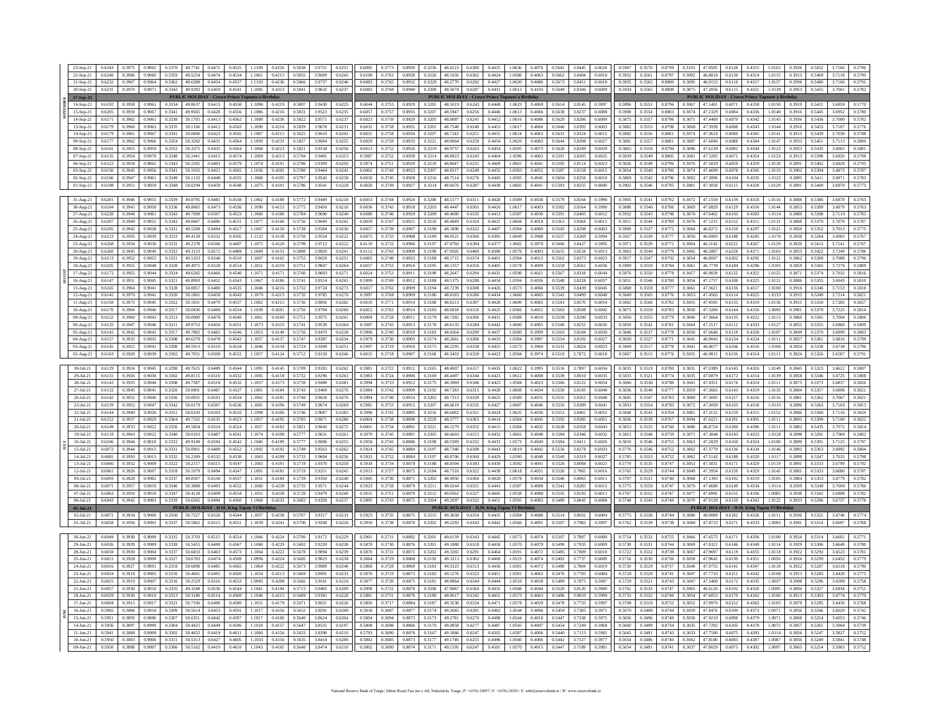| 23-Sep-21             | 0.6243 |        |        |                |                         | 0.6472 | 0.4535                      | 1.1109   | 0.4226 |                  |                 | 0.6251           | 0.6095           |                  |        |               | 48.4123                                 | 0.6300           | 0.4425           | 1.0636  | 0.4076           | 0.5645           | 3.8445    | 0.6024           | 0.5947           | 0.3570           | 0.8799           |                       | 47.0505 | 0.6128                                   | 0.4315 |          |
|-----------------------|--------|--------|--------|----------------|-------------------------|--------|-----------------------------|----------|--------|------------------|-----------------|------------------|------------------|------------------|--------|---------------|-----------------------------------------|------------------|------------------|---------|------------------|------------------|-----------|------------------|------------------|------------------|------------------|-----------------------|---------|------------------------------------------|--------|----------|
|                       |        |        |        |                |                         |        |                             |          |        |                  |                 |                  |                  |                  |        |               |                                         |                  |                  |         |                  |                  |           |                  |                  |                  |                  |                       |         |                                          |        |          |
| 22-Sep-21             | 0.6248 | 0.3966 | 0.9060 | 0.3359         | 49 5254                 | 0.6474 | 0.4534                      | 1 1061   | 0.4213 | 0.5855           | 3.9689          | 0.6245           | 0.6100           | 0.3763           | 0.8928 | 0.3226        | 48 1636                                 | 0.6302           | 0.4424           | 1.0588  | 0.4063           | 0.5662           | 3 8404    | 0.6018           | 0.5952           | 0.3561           | 0.8797           | 0.3092                | 46.8018 | 0.6130                                   | 0.4314 | 10115    |
| 21-Sep-21             | 0.6232 | 0.3967 | 0.9064 | 0.3362         | 49.6388                 | 0.6454 | 0.4537                      | 1.1103   | 0.4236 | 0.5866           | 39737           | 0.6246           | 0.6083           | 0.3765           | 0.8932 | 0.3229        | 48.2770                                 | 0.6282           | 0.4427           | 1.0630  | 0.4086           | 0.5673           | 3 8 4 5 1 | 0.6018           | 0.5935           | 0.3562           | 0.8800           | 0.3095                | 469152  | 0.6110                                   | 0.4317 | 1.0157   |
|                       |        | 0.3970 | 0.9071 | 0.3342 49.9292 |                         | 0.6459 | 0.4541                      |          |        | 0.5841           | 3.9632          | 0.6237           |                  |                  |        |               |                                         | 0.6287           | 0.4431           |         |                  | 0.5648           | 3.8346    | 0.6009           | 0.5934           | 0.3565           | 0.8808           |                       | 47.2056 | 0.6115                                   | 0.4321 |          |
| 20-Sep-21             | 0.6231 |        |        |                |                         |        |                             | 1.1085   | 0.4253 |                  |                 |                  | 0.6083           | 0.3768           |        | 0.8940 0.3208 | 48.5674                                 |                  |                  | 1.0612  | 0.4103           |                  |           |                  |                  |                  |                  | 0.3075                |         |                                          |        | 1.0139   |
| 17-Sep-21             |        |        |        |                | <b>PUBLIC HOLID</b>     |        | <b>AY - Crown Prince Tu</b> | ıto'a Bi |        |                  |                 |                  |                  |                  |        |               | <b>PUBLIC HOLIDAY - Crown Prince Tu</b> |                  |                  | to'a Bi |                  |                  |           |                  |                  |                  |                  |                       |         | <b>PUBLIC HOLIDAY - Crown Prince Tup</b> |        | ıto'a Bi |
| 16-Sep-21             | 0.6192 | 0.3958 | 0.9061 | 0.3334         | 49,8637                 | 0.6415 | 0.4558                      | 11096    | 0.4219 | 0.5807           | 3.9430          | 0.6225           | 0.6044           | 0.3755           | 0.8929 | 0.3201        | 48 5019                                 | 0.6243           | 0.4448           | 1.0623  | 0.4069           | 0.5614           | 3.8145    | 0.5997           | 0.5896           | 0.3553           | 0.8796           | 0.3067 47.1401 0.6071 |         |                                          | 0.4338 | 1.0150   |
|                       |        |        |        |                |                         |        |                             |          |        |                  |                 |                  |                  |                  |        |               |                                         |                  |                  |         |                  |                  |           |                  |                  |                  |                  |                       |         |                                          |        |          |
| 15-Sep-21             | 0.6205 | 0.3959 | 0.9067 | 0.3341         | 49 9565                 | 0.6428 | 0.4556                      | 1 1086   | 0.4216 | 0.5831           | 3.9523          | 0.6235           | 0.6057           | 0.3757           | 0.8935 | 0.3207        | 48 5947                                 | 0.6256           | 0.4446           | 1.0613  | 0.4066           | 0.5638           | 3.8237    | 0.6008           | 0.5908           | 0.3554           | 0.8803           | 0.3074                | 47.2329 | 0.6084                                   | 0.4336 | 1.0140   |
| 14-Sep-21             | 0.6171 | 0.3962 | 0.9061 | 0.3338         | 50.1705                 | 0.6413 | 0.4562                      | 1.1089   | 0.4236 | 0.5822           | 3.9571          | 0.6237           | 0.6023           | 0.3759           | 0.8929 | 0.3205        | 48.8087                                 | 0.6241           | 0.4452           | 1.0616  | 0.4086           | 0.5629           | 3.8286    | 0.6009           | 0.5875           | 0.3557           | 0.8796           | 0.3071                | 47.4469 | 0.6070                                   | 0.4342 | 1.0143   |
|                       |        |        |        |                |                         |        |                             |          |        |                  |                 |                  |                  |                  |        |               |                                         |                  |                  |         |                  |                  |           |                  |                  |                  |                  |                       |         |                                          |        |          |
| 13-Sep-21             | 0.6179 | 0.3960 | 0.9063 | 0.3335         | 50.1166                 | 0.6412 | 0.4563                      |          | 0.4216 | 0.5839           | 3.9678          | 0.623            | 0.6031           | 0.3758           | 0.8931 | 0.3201        | 48.7548                                 | 0.6240           | 0.4453           | 1.0617  | 0.4066           | 0.5646           | 3.8392    | 0.6003           | 0.5882           | 0.3555           | 0.8798           | 0.3068                | 47.3930 | 0.6068                                   | 0.4343 | 1.0144   |
| $10-Sep-21$           | 0.6179 | 0.3961 | 0.9067 | 0.3341         | 50.0860                 | 0.6423 | 0.4565                      | 11087    | 0.4213 | 0.5825           | 39610           | 0.6243           | 0.6031           | 0.3758           | 0.8934 | 0.3207        | 48 7242                                 | 0.6251           | 0.4455           | 10614   | 0.4063           | 0.5632           | 3.8324    | 0.6015           | 0.5882           | 0.3556           | 0.8801           | 0.3074                | 473624  | 0.6080                                   | 0.4345 | 1.0141   |
|                       | 0.6177 | 0.3962 | 0.9066 | 0.3354         | 50.3282                 | 0.6431 | 0.4564                      | 1 1093   | 0.4233 | 0.5837           | 39684           | 0.6255           | 0.6029           | 0.3759           | 0.8933 | 0.3221        | 48 9664                                 | 0.6259           | 0.4454           | 1.0620  | 0.4083           | 0.5644           | 3.8398    | 0.6027           | 0.5881           | 03557            | 0.8801           | 0.3087                | 47 6046 | 0.6088                                   | 0.4344 | 10147    |
| 09-Sep-21             |        |        |        |                |                         |        |                             |          |        |                  |                 |                  |                  |                  |        |               |                                         |                  |                  |         |                  |                  |           |                  |                  |                  |                  |                       |         |                                          |        |          |
| 08-Sep-21             | 0.6161 | 0.3955 | 0.9059 | 0.3353         | 50.3375                 | 0.6435 | 0.4564                      | 1.1068   | 0.4223 | 0.5821           | 3.9534          | 0.6256           | 0.6013           | 0.3752           | 0.8926 | 0.3219        | 48.9757                                 | 0.6263           | 0.4454           | 1.0595  | 0.4073           | 0.5628           | 3.8249    | 0.6029           | 0.5865           | 0.3550           | 0.8794           | 0.3086                | 47.6139 | 0.6092                                   | 0.4344 | 1.0122   |
| 07-Sep-21             | 0.6135 | 0.3954 | 0.9070 | 0.3348         | 50.2441                 | 0.6415 | 0.4574                      | 1.1069   | 0.4213 | 0.5784           | 3.9491          | 0.6253           | 0.5987           | 0.3752           | 0.8938 | 0.3214        | 48.8823                                 | 0.6243           | 0.4464           | 1.0596  | 0.4063           | 0.5591           | 3.8205    | 0.6025           | 0.5839           | 0.3549           | 0.8805           | 0.3081                | 47.5205 | 0.6071                                   | 0.4354 | 1.0123   |
|                       |        |        |        |                |                         |        |                             |          |        |                  |                 |                  |                  |                  |        |               |                                         |                  |                  |         |                  |                  |           |                  |                  |                  |                  |                       |         |                                          |        |          |
| 06-Sep-21             | 0.6122 | 0.3954 | 0.9062 | 0.3343         | 50.2265                 | 0.6403 | 0.4579                      | 1 1074   | 0.4191 | 0.5788           | 3 9 3 9 9       | 0.6250           | 0.5974           | 0.3751           | 0.8929 | 0.3210        | 48 8647                                 | 0.6231           | 0.4469           | 1.0601  | 0.4041           | 0.5595           | 3.8114    | 0.6023           | 0.5826           | 0.3549           | 0.8796           | 0.3076                | 47.5029 | 0.6059                                   | 0.4359 | 1.0128   |
| 03-Sep-21             | 0.6150 | 0.3945 | 0.9056 | 0.3341         | 50.1935                 | 0.6421 | 0.4565                      | 1 1056   | 0.4202 | 0.5780           | 39444           | 0.6242           | 0.6002           | 0.3743           | 0.8923 | 0.3207        | 48.8317                                 | 0.6249           | 0.4455           | 1.0583  | 0.4052           | 0.5587           | 3.8158    | 0.6015           | 0.5854           | 0.3540           | 0.8790           | 0.3074                | 47 4699 | 0.6078                                   | 0.4345 | 1.0110   |
|                       |        |        |        |                |                         |        |                             |          |        |                  |                 |                  |                  |                  |        |               |                                         |                  |                  |         |                  |                  |           |                  |                  |                  |                  |                       |         |                                          |        |          |
| 02-Sep-21             | 0.6166 | 0.3947 | 0.9061 | 0.3349         | 50.1132                 | 0.6448 | 0.4555                      | 1.1068   | 0.4195 | 0.5797           | 3.9542          | 0.6238           | 0.6018           | 0.3745           | 0.8928 | 0.3216        | 48.7514                                 | 0.6276           | 0.4445           | 1.0595  | 0.4045           | 0.5604           | 3.8256    | 0.6010           | 0.5869           | 0.3542           | 0.8796           | 0.3082                | 47.3896 | 0.6104                                   | 0.4335 | 1.0122   |
| $01-Sep-21$           | 0.6198 | 0.3951 | 0.9059 | 0.3348         | 50.0294                 | 0.6459 | 0.4548                      | 1.1075   | 0.4191 | 0.5786           | 3.9541          | 0.6228           | 0.6050           | 0.3749           | 0.8927 | 0.3214        | 48.6676                                 | 0.6287           | 0.4438           | 1.0602  | 0.4041           | 0.5593           | 3.8255    | 0.6000           | 0.5902           | 0.3546           | 0.8795           | 0.3081                | 47.3058 | 0.6115                                   | 0.4328 | 1.0129   |
|                       |        |        |        |                |                         |        |                             |          |        |                  |                 |                  |                  |                  |        |               |                                         |                  |                  |         |                  |                  |           |                  |                  |                  |                  |                       |         |                                          |        |          |
|                       |        |        |        |                |                         |        |                             |          |        |                  |                 |                  |                  |                  |        |               |                                         |                  |                  |         |                  |                  |           |                  |                  |                  |                  |                       |         |                                          |        |          |
| 31-Aug-21             | 0.6201 | 0.3946 | 0.9055 | 0.3339         | 49.8795                 | 0.6483 | 0.4538                      | 1.1062   | 0.4188 | 0.5772           | 3.9449          | 0.6218           | 0.6053           | 0.3744           | 0.8924 | 0.3206        | 48.5177                                 | 0.6311           | 0.4428           | 1.0589  | 0.4038           | 0.5579           | 3.8164    | 0.5990           | 0.5905           | 0.3541           | 0.8792           | 0.3072                | 47.1559 | 0.6139                                   | 0.4318 | 1.0116   |
| 30-Aug-21             | 0.6184 | 0.3945 | 0.9050 | 0.3336         | 49,8065                 | 0.6473 | 0.4536                      | 1.1090   | 0.4153 | 0.5775           | 3.9450          | 0.6218           | 0.6036           | 0.3743           | 0.8918 | 0.3203        | 48.4447                                 | 0.6301           | 0.4426           | 1.0617  | 0.4003           | 0.5582           | 3.8164    | 0.5990           | 0.5888           | 0.3540           | 0.8786           | 0.3069                | 47.0829 | 0.6129                                   | 0.4316 | 1.0144   |
|                       |        |        |        |                |                         |        |                             |          |        |                  |                 |                  |                  |                  |        |               |                                         |                  |                  |         |                  |                  |           |                  |                  |                  |                  |                       |         |                                          |        |          |
| 27-Aug-21             | 0.6228 | 0.3948 | 0.9061 | 0.3343         | 49.7698                 | 0.6507 | 0.4523                      | 1.1060   | 0.4180 | 0.5784           | 3.9690          | 0.6240           | 0.6080           | 0.3746           | 0.8929 | 0.3209        | 48.4080                                 | 0.6335           | 0.4413           | 1.0587  | 0.4030           | 0.5591           | 3.8405    | 0.6012           | 0.5932           | 0.3543           | 0.8798           | 0.3076                | 47.0462 | 0.6163                                   | 0.4303 | 1.0114   |
| 26-Aug-21             | 0.6207 | 0.3949 | 0.9052 | 0.3343         | 49 8467                 | 0.6496 | 0.4531                      | 1 1077   | 0.4168 | 0.5756           | 3.9649          | 0.6242           | 0.6059           | 03747            | 0.8921 | 0.3210        | 48 48 49                                | 0.6324           | 0.4421           | 1.0604  | 0.4018           | 0.5563           | 38364     | 0.6015           | 0.5911           | 0.3544           | 0.8789           | 0.3076                | 47 1231 | 0.6152                                   | 0.4311 | 1.0131   |
|                       | 0.6205 | 0.3942 | 0.9038 | 0.3331         | 49.5508                 | 0.6494 | 0.4517                      | 11067    | 0.4150 | 0.5738           | 39584           | 0.6230           | 0.6057           | 0.3739           | 0.8907 | 0.3198        | 48 1890                                 | 0.6322           | 0.4407           | 1.0594  | 0.4000           | 0.5545           | 3.8298    |                  | 0.5909           | 0.3537           | 0.8775           | 0.3064                | 46.8272 | 0.6150                                   | 0.4297 | 1.0121   |
| 25-Aug-21             |        |        |        |                |                         |        |                             |          |        |                  |                 |                  |                  |                  |        |               |                                         |                  |                  |         |                  |                  |           | 0.6003           |                  |                  |                  |                       |         |                                          |        |          |
| 24-Aug-21             | 0.6223 | 0.3935 | 0.9039 | 0.3323         |                         | 0.6532 | 0.4505                      | 1.1122   |        |                  | 3.9554          | 0.6222           | 0.6075           |                  | 0.8908 |               | 48.0521                                 | 0.6360           |                  |         | 0.3988           | 0.5557           | 3.8269    | 0.5994           | 0.5927           | 0.3530           |                  | 0.3056                | 46.6903 | 0.6188                                   | 0.4285 | 1.0176   |
| 23-Aug-21             | 0.6268 | 0.3934 | 0.9036 | 0.3331         | 49.2378                 | 0.6566 | 0.4487                      | 11075    | 0.4120 | 0.5799           | 3.9712          | 0.6222           | 0.6119           | 0.3732           | 0.8906 | 0.3197        | 47 8760                                 | 0.6394           | 0.4377           | 1.0602  | 0.3970           | 0.5606           | 3.8427    | 0.5995           | 0.5971           | 0.3529           | 0.8775           | 0.3064                | 46.5142 | 0.6222                                   | 0.4267 | 1.0129   |
|                       |        |        |        |                |                         |        |                             |          |        |                  |                 |                  |                  |                  |        |               |                                         |                  |                  |         |                  |                  |           |                  |                  |                  |                  |                       |         |                                          |        |          |
| 20-Aug-21             | 0.6260 | 0.3945 | 0.9040 | 0.3332         | 49.3123                 | 0.6572 | 0.4489                      | 1 1049   | 0.4153 | 0.5808           | 3.9820          | 0.6241           | 0.6112           | 0.3743           | 0.8909 | 0.3198        | 47 9505                                 | 0.6400           | 0.4380           | 1.0576  | 0.4003           | 0.5615           | 38534     | 0.6013           | 0.5963           | 0.3540           | 0.8779           | 0.3065                | 46 5887 | 0.6228                                   | 0.4271 | 1.0103   |
| 19-Aug-21             | 0.6213 | 0.3952 | 0.9055 | 0.3321         | 49.5333                 | 0.6546 | 0.4510                      | 11067    | 0.4162 | 0.5755           | 3.9659          | 0.6251           | 0.6065           | 0.3749           | 0.8923 | 0.3188        | 48 1715                                 | 0.6374           | 0.4401           | 1.0594  | 0.4012           | 0.5562           | 38373     | 0.6023           | 0.5917           | 03547            | 0.8792           | 0.3054                | 46,8097 | 0.6202                                   | 0.4292 | 1.0121   |
|                       |        |        |        |                |                         |        |                             |          |        |                  |                 |                  |                  |                  |        |               |                                         |                  |                  |         |                  |                  |           |                  |                  |                  |                  |                       |         |                                          |        |          |
| 18-Aug-21             | 0.6205 | 0.3955 | 0.9048 | 0.3328         | 49.4975                 | 0.6528 | 0.4514                      | 1.1051   | 0.4159 | 0.575            | 3.9847          | 0.6264           | 0.6057           | 0.3753           | 0.8916 | 0.3195        | 48.1357                                 | 0.6356           | 0.4405           | 1.0578  | 0.4009           | 0.5558           | 3.8561    | 0.6036           | 0.5909           | 0.3550           | 0.8784           | 0.3061                | 46.7739 | 0.6184                                   | 0.4296 | 1.0105   |
| 17-Aug-21             | 0.6172 | 0.3955 | 0.9044 | 0.3324         | 49.6265                 | 0.6466 | 0.4540                      | 1.1071   | 0.4171 | 0.5760           | 3.9603          | 0.6271           | 0.6024           | 0.3753           | 0.8911 | 0.3190        | 48.2647                                 | 0.6294           | 0.4431           | 1.0598  | 0.4021           | 0.5567           | 3.8318    | 0.6044           | 0.5876           | 0.3550           | 0.8779           | 0.3057                | 46.9029 | 0.6122                                   | 0.4322 | 1.0125   |
|                       |        |        |        |                |                         |        |                             |          |        |                  |                 |                  |                  |                  |        |               |                                         |                  |                  |         |                  |                  |           |                  |                  |                  |                  |                       |         |                                          |        |          |
| 16-Aug-21             | 0.6147 | 0.3951 | 0.9045 | 0.3321         | 49.8993                 | 0.6452 | 0.4543                      | 1 1067   | 0.4186 | 0.5741           | 39514           | 0.6265           | 0.5999           | 0.3749           | 0.8912 | 0.3188        | 48 5375                                 | 0.6280           | 0.4434           | 1.0594  | 0.4036           | 0.5548           | 38228     | 0.6037           | 0.5851           | 0.3546           | 0.8780           | 0.3054                | 47 1757 | 0.6108                                   | 0.4325 | 1.0121   |
| 13-Aug-21             | 0.6165 | 0.3964 | 0.9041 | 0.3328         | 50.0857                 | 0.6480 | 0.4535                      | 1.1046   | 0.4216 | 0.5732           | 3.9724          | 0.6273           | 0.6017           | 0.3762           | 0.8909 | 0.3194        | 48.7239                                 | 0.6308           | 0.4426           | 1.0573  | 0.4066           | 0.5539           | 3.8439    | 0.6045           | 0.5868           | 0.3559           | 0.8777           | 0.3061                | 47.3621 | 0.6136                                   | 0.4317 | 1.0100   |
|                       |        |        |        |                |                         |        |                             |          |        |                  |                 |                  |                  |                  |        |               |                                         |                  |                  |         |                  |                  |           |                  | 0.5849           |                  |                  |                       | 47.4565 |                                          |        |          |
| 12-Aug-21             | 0.6145 | 0.3970 | 0.9041 | 0.3320         | 50.1801                 | 0.6458 | 0.4543                      | 1.1079   | 0.4215 | 0.5735           | 3.9785          | 0.6276           | 0.5997           | 0.3768           | 0.8909 | 0.3186        | 48.8183                                 | 0.6286           | 0.4434           | 1.0606  | 0.4065           | 0.5542           | 3.8499    | 0.6048           |                  | 0.3565           | 0.8776           | 0.3053                |         | 0.6114                                   | 0.4325 | 1.0133   |
| $11-Aug-21$           | 0.6158 | 0.3973 | 0.9045 | 0.3322         | 50.1831                 | 0.6479 | 0.4537                      | 1.1082   | 0.4215 | 0.5736           | 39856           | 0.6282           | 0.6010           | 0.3771           | 0.8914 | 0.3188        | 48.8213                                 | 0.6307           | 0.4428           | 1.0609  | 0.4065           | 0.5543           | 38570     | 0.6054           | 0.5862           | 0.3568           | 0.8782           | 0.3055                | 47 4595 | 0.6135                                   | 0.4319 | 1.0136   |
| $10-Aug-21$           | 0.6170 | 0.3964 | 0.9046 | 0.3317         | 50.0436                 | 0.6488 | 0.4534                      | 1 1039   | 0.4201 | 0.5756           | 3 9794          | 0.6269           | 0.6022           | 0.3762           | 0.8914 | 0.3183        | 48.6818                                 | 0.6316           | 0.4425           | 1.0566  | 0.4051           | 0.5563           | 3.8508    | 0.6042           | 0.5873           | 0.3559           | 0.8783           | 0.3050                | 473200  | 0.6144                                   | 0.4316 | 1.0093   |
|                       |        |        |        |                |                         |        |                             |          |        |                  |                 |                  |                  |                  |        |               |                                         | 0.6306           |                  |         |                  |                  |           |                  |                  |                  |                  |                       |         |                                          |        |          |
| 09-Aug-21             | 0.6152 | 0.3960 | 0.9043 | 0.3313         | 50,0900                 | 0.6478 | 0.4540                      | 1.1061   | 0.4160 | 0.5751           | 3.9575          | 0.6261           | 0.6004           | 0.3758           | 0.8911 | 0.3179        | 48.7282                                 |                  | 0.4431           | 1.0588  | 0.4010           | 0.5558           | 3.8290    | 0.6033           | 0.5856           | 0.3555           | 0.8779           | 0.3046                | 47.3664 | 0.6135                                   | 0.4322 | 1.0115   |
| 06-Aug-21             | 0.6135 | 0.3947 | 0.9046 | 0.3311         | 49.9753                 | 0.6456 | 0.4551                      | 1.1073   | 0.4155 | 0.5741           | 3.9539          | 0.6264           | 0.5987           | 0.3745           | 0.8913 | 0.3178        | 48.6135                                 | 0.6284           | 0.4442           | 1.0600  | 0.4005           | 0.5548           | 3.8253    | 0.6036           | 0.5839           | 0.3542           | 0.8781           | 0.3044                | 47.2517 | 0.6112                                   | 0.4333 | 1.0127   |
|                       |        |        |        |                |                         |        |                             |          |        |                  |                 |                  |                  |                  |        |               |                                         |                  |                  |         |                  |                  |           |                  |                  |                  |                  |                       |         |                                          |        |          |
| 05-Aug-21             | 0.6145 | 0.3942 | 0.9042 | 0.3317         | 49.7882                 | 0.6462 | 0.4546                      | 1.1053   | 0.4149 | 0.5756           | 3.9470          | 0.6258           | 0.5996           | 0.3740           | 0.8910 | 0.3183        | 48.4264                                 | 0.6290           | 0.4437           | 1.0580  | 0.3999           | 0.5563           | 3.8184    | 0.6030           | 0.5848           | 0.3537           | 0.8778           | 0.3050                | 47.0646 | 0.6118                                   | 0.4328 | 1.0107   |
| 04-Aug-21             | 0.6127 | 0.3932 | 0.9035 | 0.3308         | 49.6279                 | 0.6478 | 0.4542                      | 1 1057   | 0.4137 | 0.5747           | 39387           | 0.6254           | 0.5979           | 0.3730           | 0.8903 | 0.3174        | 48.2661                                 | 0.6306           | 0.4433           | 1.0584  | 0.3987           | 0.5554           | 3.8102    | 0.6027           | 0.5830           | 03527            | 0.8771           | 0.3041                | 46 9043 | 0.6134                                   | 0.4324 | 1.0111   |
| 03-Aug-21             | 0.6145 | 0.3922 | 0.9041 | 0.3308         | 49.5913                 | 0.6510 | 0.4534                      | 1.1046   | 0.4134 | 0.5724           | 3.9309          | 0.6251           | 0.5997           | 0.3719           | 0.8910 | 0.3175        | 48.2295                                 | 0.6338           | 0.4425           | 1.0573  | 0.3984           | 0.5531           | 3.8024    | 0.6023           | 0.5849           | 0.3517           | 0.8778           | 0.3041                | 46,8677 | 0.6166                                   | 0.4316 | 1.0100   |
|                       |        |        |        |                |                         |        |                             |          |        |                  |                 |                  |                  |                  |        |               |                                         |                  |                  |         |                  |                  |           |                  |                  |                  |                  |                       |         |                                          |        |          |
|                       | 0.6163 | 0.3920 | 0.9039 | 0.3302         | 49.7051                 | 0.6500 | 0.4532                      | 1.1057   | 0.4124 |                  |                 | 0.6246           | 0.6015           | 0.3718           | 0.8907 | 0.3168        | 48.3433                                 | 0.6328           | 0.4423           | 1.0584  | 0.3974           | 0.5519           | 3.7872    | 0.6018           | 0.5867           | 0.3515           | 0.8776           | 0.3035                | 46.9815 | 0.6156                                   | 0.4314 | 1.0111   |
| 02-Aug-21             |        |        |        |                |                         |        |                             |          |        | 0.5712           | 3.9158          |                  |                  |                  |        |               |                                         |                  |                  |         |                  |                  |           |                  |                  |                  |                  |                       |         |                                          |        |          |
|                       |        |        |        |                |                         |        |                             |          |        |                  |                 |                  |                  |                  |        |               |                                         |                  |                  |         |                  |                  |           |                  |                  |                  |                  |                       |         |                                          |        |          |
| $30 -$ Jul-21         | 0.6129 | 0.3924 | 0.9045 | 0.3298         | 49.7625                 | 0.6489 | 0.4544                      | 1.1095   | 0.4145 | 0.5709           | 3.9183          | 0.6262           | 0.5981           | 0.3722           | 0.8912 | 0.3165        | 48,4007                                 | 0.6317           | 0.4435           | 1.0622  | 0.3995           | 0.5516           | 3.7897    | 0.6034           | 0.5833           | 0.3519           | 0.8780           | 0.3031                | 47.0389 | 0.6145                                   | 0.4326 | 1.0149   |
|                       |        |        |        |                |                         |        |                             |          |        |                  |                 |                  |                  |                  |        |               |                                         |                  |                  |         |                  |                  |           |                  |                  |                  |                  |                       |         |                                          |        |          |
| 29-Jul-21             | 0.6131 | 0.3926 | 0.9038 | 0.3302         | 49.8115                 | 0.6516 | 0.4532                      | 1.1085   | 0.4158 | 0.5732           | 3.9296          | 0.6263           | 0.5983           | 0.3724           | 0.8906 | 0.3169        | 48.4497                                 | 0.6344           | 0.4423           | 1.0612  | 0.4008           | 0.5539           | 3.8010    | 0.6035           | 0.5835           | 0.3521           | 0.8774           | 0.3035                | 47.0879 | 0.6172                                   | 0.4314 | 1.0139   |
| 28-Jul-21             | 0.6142 | 0.3935 | 0.9044 | 0.3308         | 49.7587                 | 0.6518 | 0.4532                      | 1.1057   | 0.4173 | 0.5759           | 3.9408          | 0.6281           | 0.5994           | 0.3733           | 0.8912 | 0.3175        | 48 3969                                 | 0.6346           | 0.4423           | 1.0584  | 0.4023           | 0.5566           | 3.8122    | 0.6054           | 0.5846           | 0.3530           | 0.8780           | 0.3041                | 47.0351 | 0.6174                                   | 0.4314 | 1.0111   |
|                       |        |        |        |                |                         |        |                             |          |        |                  |                 |                  |                  |                  |        |               |                                         |                  |                  |         |                  |                  |           |                  |                  |                  |                  |                       |         |                                          |        |          |
| 27-Jul-21             | 0.6132 | 0.3945 | 0.9041 | 0.3326         | 50.0901                 | 0.6487 | 0.4537                      | 1.1081   | 0.4184 | 0.5743           | 9240.2          | 0.6276           | 0.5984           | 0.3742           | 0.8909 | 0.3192        | 48.7283                                 | 0.6315           | 0.4428           | 1.0608  | 0.4034           | 0.5550           | 3.8183    | 0.6049           | 0.5836           | 0.3540           | 0.8777           | 0.3059                | 47.3665 | 0.6143                                   | 0.4319 | 1.0135   |
| $26 -$ Jul-21         | 0.6142 | 0.3952 | 0.9046 | 0.3336         | 50.0931                 | 0.6501 | 0.4534                      | 1.1062   | 0.4181 | 0.5748           | 3.9638          | 0.6276           | 0.5994           | 0.3749           | 0.8914 | 0.3202        | 48.7313                                 | 0.6329           | 0.4425           | 1.0589  | 0.4031           | 0.5555           | 3.8352    | 0.6048           | 0.5845           | 0.3547           | 0.8783           | 0.3069                | 47.3695 | 0.6157                                   | 0.4316 | 1.0116   |
| $23-Jul-21$           | 0.6129 | 0.3952 | 0.9047 | 0.3342         | 50.0179                 | 0.6507 | 0.4536                      | 1.1081   | 0.4196 | 0.5749           | 3.9674          | 0.6269           | 0.5981           | 0.3753           | 0.8915 | 0.3207        | 48.6619                                 | 0.6335           | 0.4427           | 1.0607  | 0.4046           | 0.5556           | 3.8389    | 0.6041           | 0.5833           | 0.3554           | 0.8783           | 0.3072                | 47.3059 | 0.6163                                   | 0.4318 | 1.0133   |
|                       |        |        |        |                |                         |        |                             |          |        |                  |                 |                  |                  |                  |        |               |                                         |                  |                  |         |                  |                  |           |                  |                  |                  |                  |                       |         |                                          |        |          |
| 22-Jul-21             | 0.6144 | 0.3940 | 0.9026 | 0.3351         | 50.0243                 | 0.6503 | 0.4533                      | 1.1098   | 0.4186 | 0.5746           | 39687           | 0.6282           | 0.5996           | 0.3741           | 0.8895 | 0.3216        | 48.6682                                 | 0.6331           | 0.4424           | 1.0625  | 0.4036           | 0.5553           | 3 8401    | 0.6053           | 0.5848           | 0.3543           | 0.8764           | 0.3081                | 47.3122 | 0.6159                                   | 0.4315 | 1.0152   |
| $21 - In1 - 21$       | 0.6152 | 0.3937 | 0.9029 | 0.3364         | 497332                  | 0.6535 | 0.4523                      | 1 1057   | 0.4195 | 0.5785           | 3 9 6 7 1       | 0.6280           | 0.6004           | 0.3738           | 0.8898 | 0.3229        | 48 3777                                 | 0.6363           | 0.4414           | 10584   | 0.4045           | 0.5592           | 38385     | 0.6051           | 0.5856           | 0.3539           | 0.8767           | 0.3094                | 47 0221 | 0.6191                                   | 0.4305 | 10111    |
|                       |        |        |        |                |                         |        |                             |          |        |                  |                 |                  |                  |                  |        |               |                                         |                  |                  |         |                  |                  |           |                  |                  |                  |                  |                       |         |                                          |        |          |
| 20-Jul-21             | 0.6149 | 0.3933 | 0.9022 | 0.3356         | 49.5834                 | 0.6524 | 0.4524                      | 1.1057   | 0.4182 | 0.5821           | 3.9643          | 0.6272           | 0.6001           | 0.3734           | 0.8891 | 0.3221        | 48.2279                                 | 0.6352           | 0.4415           | 1.0584  | 0.4032           | 0.5628           | 3.8358    | 0.6043           | 0.5853           | 0.3535           | 0.8760           | 0.3086                | 46.8724 | 0.6180                                   | 0.4306 | 1.0111   |
| 19-Jul-21             | 0.6118 | 0.3943 | 0.9022 | 0.3340         | 50.0163                 | 0.6487 | 0.4541                      | 1.1074   | 0.4198 | 0.5777           | 3.9631          | 0.6261           | 0.5970           | 0.3745           | 0.8891 | 0.3205        | 48,6603                                 | 0.6315           | 0.4432           | 1.0601  | 0.4048           | 0.5584           | 3.8346    | 0.6032           | 0.5821           | 0.3546           | 0.8759           | 0.3071                | 47.3044 | 0.6143                                   | 0.4323 | 1.0128   |
|                       |        |        |        |                |                         | 0.6504 |                             |          |        |                  |                 |                  |                  |                  |        |               |                                         |                  |                  |         |                  |                  |           |                  |                  |                  |                  |                       |         |                                          |        |          |
| $16$ -Jul-21          | 0.6106 | 0.3944 | 0.9018 | 0.3332         | 49.9149                 |        | 0.4542                      | 1.1046   | 0.4199 | 0.5777           | 3.9696          | 0.6255           | 0.5958           | 0.3745           | 0.8886 | 0.3198        | 48.5589                                 | 0.6332           | 0.4433           | 1.0573  | 0.4049           | 0.5584           | 3.8411    | 0.6026           | 0.5810           | 0.3546           | 0.8755           | 0.3063                | 47.2029 | 0.6160                                   | 0.4324 | 1.0100   |
| $15-Jul-21$           | 0.6072 | 0.3944 | 0.9015 | 0.3331         | 50,0901                 | 0.6480 | 0.4552                      | 1.1092   | 0.4192 | 0.5749           | 3.9563          | 0.6262           | 0.5924           | 0.3745           | 0.8884 | 0.3197        | 48.7340                                 | 0.6308           | 0.4443           | 1.0619  | 0.4042           | 0.5556           | 3.8278    | 0.6033           | 0.5776           | 0.3546           | 0.8752           | 0.3062                | 47,3779 | 0.6136                                   | 0.4334 | 1.0146   |
| $14-Jul-21$           | 0.6081 | 0.3950 | 0.9015 | 0.3332         | 50.2269                 | 0.6532 | 0.4538                      | 1.1063   | 0.4198 | 0.5733           | 39604           | 0.6256           | 0.5933           | 0.3752           | 0.8884 | 0.3197        | 48.8706                                 | 0.6360           | 0.4429           | 1.0590  | 0.4048           | 0.5540           | 3.8319    | 0.6027           | 0.5785           | 0.3553           | 0.8752           | 0.3062                | 47.5142 | 0.6188                                   | 0.4320 | 1.0117   |
|                       |        |        |        |                |                         |        |                             |          |        |                  |                 |                  |                  |                  |        |               |                                         |                  |                  |         |                  |                  |           |                  |                  |                  |                  |                       |         |                                          |        |          |
| $13-Jul-21$           | 0.6066 | 0.3932 | 0.9009 | 0.3322         | 50.2157                 | 0.6515 | 0.4547                      | 1.1065   | 0.4191 | 0.5719           | 3.9370          | 0.6250           | 0.5918           | 0.3734           | 0.8878 | 0.3188        | 48.8594                                 | 0.6343           | 0.4438           | 1.0592  | 0.4041           | 0.5526           | 3.8084    | 0.6021           | 0.5770           | 0.3535           | 0.8747           | 0.3053                | 47.5031 | 0.6171                                   | 0.4329 | 1.0119   |
| $12-Jul-21$           | 0.6061 | 0.3926 | 0.9007 | 0.3318         | 50 1079                 | 0.6494 | 0.4547                      |          |        | 0.5719           | 3.9251          | 0.6245           | 0.5913           | 03727            | 0.8875 | 0.3184        | 48 7516                                 | 0.6322           | 0.4438           |         | 0.4031           | 0.5526           | 37965     | 0.6016           | 0.5765           | 0.3529           | 0.8744           | 0.3049                | 473954  | 0.6150                                   | 0.4329 | 1.0145   |
|                       | 0.6093 | 0.3928 | 0.9002 | 03337          | 49.8507                 | 0.6536 | 0.4537                      | 1 1051   | 0.4184 | 0.5739           | 3.9350          | 0.6240           | 0.5945           | 0.3730           | 0.8871 | 0.3202        | 48 4950                                 | 0.6364           | 0.4428           | 1.0578  | 0.4034           | 0.5546           | 3.8065    | 0.6011           | 0.5797           | 0.3531           | 0.8740           | 0.3068                | 47 1393 | 0.6192                                   | 0.4319 | 1.0105   |
| $09-Jul-21$           |        |        |        |                |                         |        |                             |          |        |                  |                 |                  |                  |                  |        |               |                                         |                  |                  |         |                  |                  |           |                  |                  |                  |                  |                       |         |                                          |        |          |
| $08-Jul-21$           | 0.6071 | 0.3957 | 0.9010 | 0.3346         | 50.3808                 | 0.6493 | 0.4552                      | 1.1060   | 0.4239 | 0.5735           | 3.9571          | 0.6244           | 0.5923           | 0.3758           | 0.8879 | 0.3211        | 49.0244                                 | 0.6321           | 0.4443           | 1.0587  | 0.4089           | 0.5542           | 3.8285    | 0.6015           | 0.5775           | 0.3559           | 0.8747           | 0.3076                | 47.6680 | 0.6149                                   | 0.4334 | 1.0114   |
|                       | 0.6063 | 0.3950 | 0.9010 | 0.3347         | 50.4128                 | 0.6499 | 0.4554                      | 1.1031   | 0.4238 | 0.5728           | 3.9479          | 0.6240           |                  | 0.3751           | 0.8878 | 0.3212        | 49.0562                                 | 0.6327           | 0.4445           | 1.0558  | 0.4088           |                  | 3.8193    | 0.6011           |                  |                  | 0.8747           | 0.3077                | 47.6995 |                                          | 0.4336 | 1.0085   |
| $07$ -Jul-21          |        |        |        |                |                         |        |                             |          |        |                  |                 |                  | 0.5915           |                  |        |               |                                         |                  |                  |         |                  | 0.5535           |           |                  | 0.5767           | 0.3552           |                  |                       |         | 0.6155                                   |        |          |
| $06$ -Jul-21          | 0.6043 | 0.3942 | 0.9003 | 0.3339         | 50.6265                 | 0.6494 | 0.4560                      | 1.1068   | 0.4233 | 0.5682           | 3.9328          | 0.6237           | 0.5895           | 0.3743           | 0.8872 | 0.3204        | 49.2697                                 | 0.6322           | 0.4451           | 1.0595  | 0.4083           | 0.5489           | 3.8042    | 0.6008           | 0.5748           | 0.3545           | 0.8740           | 0.3070                | 47.9128 | 0.6150                                   | 0.4342 | 1.0122   |
|                       |        |        |        |                | PUBLIC HOLIDAY - H.M. K |        |                             |          |        |                  |                 |                  |                  |                  |        |               | PUBLIC HOLIDAY - H.M.                   |                  |                  |         |                  |                  |           |                  |                  |                  |                  |                       |         | PUBLIC HOLIDAY - H.M. K                  |        |          |
|                       |        |        |        |                |                         |        |                             |          |        |                  |                 |                  |                  |                  |        |               |                                         |                  |                  |         |                  |                  |           |                  |                  |                  |                  |                       |         |                                          |        |          |
| $02-Jul-21$           | 0.6071 | 0.3934 | 0.9006 | 0.3350         | 50.7227                 | 0.6526 | 0.4544                      | 1 1057   | 0.4236 | 0.5707           | 3.9317          | 0.6233           | 0.5923           | 0.3735           | 0.8875 | 0.3215        | 49.3658                                 | 0.6354           | 0.4435           | 1.0584  | 0.4086           | 0.5514           | 3.8032    | 0.6004           | 0.5775           | 0.3536           | 0.8744           | 0.3080 48.0089 0.6182 |         |                                          | 0.4326 | 1.0111   |
| $01-Jul-21$           | 0.6058 | 0.3936 | 0.9001 | 0.3337         | 50.5862                 | 0.6515 | 0.4551                      | 1.1039   | 0.4241 | 0.5700           | 3.9268          | 0.6226           | 0.5910           | 0.3738           | 0.8870 | 0.3202        | 49.2292                                 | 0.6343           | 0.4442           | 1.0566  | 0.4091           | 0.5507           | 3.7982    | 0.5997           | 0.5762           | 0.3539           | 0.8738           | 0.3068                | 47,8723 | 0.6171                                   | 0.4333 | 1.0093   |
|                       |        |        |        |                |                         |        |                             |          |        |                  |                 |                  |                  |                  |        |               |                                         |                  |                  |         |                  |                  |           |                  |                  |                  |                  |                       |         |                                          |        |          |
|                       |        |        |        |                |                         |        |                             |          |        |                  |                 |                  |                  |                  |        |               |                                         |                  |                  |         |                  |                  |           |                  |                  |                  |                  |                       |         |                                          |        |          |
| $30 - Jun-21$         | 0.6049 | 0.3930 | 0.9009 | 0.3335         | 50,3703                 | 0.6515 | 0.4554                      | 1.1046   | 0.4224 | 0.5700           | 3.9172          | 0.6229           | 0.5901           | 0.3731           |        | 0.8882 0.3201 | 49.0139                                 | 0.6343           | 0.4445           | 1.0573  | 0.4074 0.5507    |                  | 3.7887    | 0.6000           | 0.5754           | 0.3533           | 0.8755           | 0.3066 47.6575 0.6171 |         |                                          | 0.4336 | 1.0100   |
| 29-Jun-21             | 0.6026 | 0.3929 | 0.9009 | 0.3338         | 50.5455                 | 0.6490 | 0.4567                      | 1.1060   | 0.4229 | 0.5692           | 3.9220          | 0.6238           | 0.5878           | 0.3730           | 0.8876 | 0.3201        | 49.1888                                 | 0.6318           | 0.4458           | 1.0570  | 0.4079           | 0.5499           | 3.7935    | 0.6009           | 0.5730           | 0.3531           | 0.8744           | 0.3069                | 47.8321 | 0.6146                                   | 0.4349 | 1.0114   |
|                       |        |        |        |                |                         |        |                             |          |        |                  |                 |                  |                  |                  |        |               |                                         |                  |                  |         |                  |                  |           |                  |                  |                  |                  |                       |         |                                          |        |          |
| $28-Jun-21$           | 0.6018 | 0.3930 | 0.9004 | 0.3337         | 50.6833                 | 0.6463 | 0.4573                      | 1.1064   | 0.4222 | 0.5678           | 3,9094          | 0.6239           | 0.5870           | 0.3731           | 0.8871 | 0.3202        | 49.3265                                 | 0.6291           | 0.4464           | 1.0591  | 0.4072           | 0.5485           | 1.7809    | 0.6010           | 0.5722           | 0.3532           | 0.8739           | 0.3067                | 47.9697 | 0.6119                                   | 0.4355 | 1.0118   |
| $25-Jun-21$           | 0.6011 | 0.3928 | 0.9000 | 0.3327         | 50.6783                 | 0.6474 | 0.4569                      | 1.0996   | 0.4224 | 0.5685           | 3.9023          | 0.6238           | 0.5864           | 0.3729           | 0.8868 | 0.3192        | 49.3213                                 | 0.6302           | 0.4460           | 1.0523  | 0.4074           | 0.5492           | 3.7737    | 0.6009           | 0.5716           | 0.3530           | 0.8736           | 0.3058                | 47.9642 | 0.6130                                   | 0.4351 | 1.0050   |
| 24-Jun-21             | 0.6016 | 0.3927 | 0.9001 | 0.3318         | 50.6890                 | 0.6485 | 0.4565                      | 1 1064   | 0.4222 | 0.5673           | 98093           | 0.6248           | 0.5868           | 0.3728           | 0.8869 | 0.3183        | 49 3323                                 | 0.6313           | 0.4456           | 10591   | 0.4072           | 0.5480           | 3.7804    | 0.6019           | 0.5720           | 0.3529           | 0.8737           | 0.3048                | 47 9755 | 0.6141                                   | 0.4347 | 10118    |
|                       |        |        |        |                |                         |        |                             |          |        |                  |                 |                  |                  |                  |        |               |                                         |                  |                  |         |                  |                  |           |                  |                  |                  |                  |                       |         |                                          |        |          |
| 23-Jun-21             | 0.6024 | 0.3918 | 0.9005 | 0.3316         | 50 4841                 | 0.6495 | 0.4560                      | 1 1054   | 0.4213 | 0.5669           | 3 8991          | 0.6233           | 0.5876           | 0.3719           | 0.8873 | 0.3182        | 49 1276                                 | 0.6323           | 0.4451           | 1.0581  | 0.4063           | 0.5476           | 3.7705    | 0.6004           | 0.5728           | 0.3520           | 0.8741           | 0.3047                | 47 7710 | 0.6151                                   | 0.4342 | 1.0108   |
| 22-Jun-21             | 0.6025 | 0.3919 | 0.9007 | 0.3316         | 50.2529                 | 0.6516 | 0.4553                      | 1.0983   | 0.4208 | 0.5682           | 3.9161          | 0.6216           | 0.5877           | 0.3720           | 0.8875 | 0.3181        | 48.8964                                 | 0.6344           | 0.4444           | 1.0510  | 0.4058           | 0.5489           | 3.7875    | 0.5987           | 0.5729           | 0.3521           | 0.8743           | 0.3047                | 47,5400 | 0.6172                                   | 0.4335 | 1.0037   |
| $21-Jun-21$           | 0.6057 | 0.3930 | 0.9910 | 0.3335         | 49.3248                 | 0.6536 | 0.4544                      | 1.1041   | 0.4194 | 0.5713           | 3.9405          | 0.6209           | 0.5909           | 0.3731           | 0.8878 | 0.3200        | 47 9687                                 | 0.6364           | 0.4435           | 1.0568  | 0.4044           | 0.5520           | 3.8120    | 0.5980           | 0.5761           | 0.3533           | 0.8747           | 0.3065                | 46.6126 | 0.6192                                   | 0.4326 | 1.0095   |
|                       |        |        |        |                |                         |        |                             |          |        |                  |                 |                  |                  |                  |        |               |                                         |                  |                  |         |                  |                  |           |                  |                  |                  |                  |                       |         |                                          |        |          |
| $18 - \text{I}$ un-21 | 0.6029 | 0.3930 | 0.9010 | 0.3323         | 50.3180                 | 0.6514 | 0.4560                      | 1 1046   | 0.4213 | 0.5689           | 3 9 3 4 5       | 0.6228           | 0.5881           | 0.3731           | 0.8878 | 0.3188        | 48 9617                                 | 0.6342           | 0.4451           | 1.0573  | 0.4063           | 0.5496           | 3.8059    | 0.5999           | 0.5733           | 0.3532           | 0.8746           | 0.3054                | 47 6053 | 0.6170                                   | 0.4342 | 1 0100   |
| $17-J$ un- $21$       | 0.6004 | 0.3915 | 0.9017 | 0.3321         | 50.7106                 | 0.6496 | 0.4580                      | 1.1051   | 0.4179 | 0.5671           | 3.9021          | 0.6226           | 0.5856           | 0.3717           | 0.8884 | 0.3187        | 49.3538                                 | 0.6324           | 0.4471           | 1.0578  | 0.4029           | 0.5478           | 3.7735    | 0.5997           | 0.5708           | 0.3518           | 0.8752           | 0.3052                | 47.9970 | 0.6152                                   | 0.4362 | 1.0105   |
|                       |        |        |        |                |                         |        |                             |          |        |                  |                 |                  |                  |                  |        |               |                                         |                  |                  |         |                  |                  |           |                  |                  |                  |                  |                       |         |                                          |        |          |
| $16$ -Jun-21          | 0.5965 | 0.3886 | 0.9010 | 0.3309         | 50.5614                 | 0.6453 | 0.4591                      | 1.1017   | 0.4156 | 0.5652           | 3.8591          | 0.6200           | 0.5818           | 0.3687           | 0.8877 | 0.3174        | 49.2045                                 | 0.6281           | 0.4482           | 1.0544  | 0.4006           | 0.5459           | 1.7305    | 0.5971           | 0.5670           | 0.3489           | 0.8744           | 0.3039                | 47,8476 | 0.6109                                   | 0.4373 | 1.0071   |
| 15-Jun-21             | 0.5951 | 0.3893 | 0.9006 | 0.3307         | 50.6351                 | 0.6442 | 0.4597                      | 1 1017   | 0.4168 | 0.5640           | 38624           | 0.6204           | 0.5804           | 0.3694           | 0.8873 | 0.3173        | 49.2781                                 | 0.6270           | 0.4488           | 10544   | 0.4018           | 0.5447           | 37338     | 0.5975           | 0.5656           | 0.3496           | 0.8740           | 0.3038                | 47 9210 | 0.6098                                   | 0.4379 | 1.0071   |
| $14$ -Jun-21          | 0.5956 | 0.3897 | 0.8999 | 0.3304         | 50.4425                 | 0.6449 | 0.4596                      | 11018    | 0.4157 | 0.5647           | 38535           | 0.6197           | 0.5808           | 0.3698           | 0.8866 | 0.3170        | 49 0858                                 | 0.6277           | 0.4487           | 1.0545  | 0.4007           | 0.5454           | 37249     | 0.5968           | 0.5660           | 0.3499           | 0.8734           | 0.3035                | 47 7297 | 0.6105                                   | 0.4378 | 1.0072   |
|                       |        |        |        |                |                         |        |                             |          |        |                  |                 |                  |                  |                  |        |               |                                         |                  |                  |         |                  |                  |           |                  |                  |                  |                  |                       |         |                                          |        |          |
| $11-J$ un- $21$       | 0.5941 | 0.3888 | 0.9009 | 0.3302         | 50.4632                 | 0.6419 | 0.4611                      | 1.1060   | 0.4156 | 0.5633           | 38398           | 0.6210           | 0.5793           | 0.3690           | 0.8876 | 0.3167        | 49 1066                                 | 0.6247           | 0.4502           | 1.0587  | 0.4006           | 0.5440           | 37113     | 0.5981           | 0.5645           | 0.3491           | 0.8743           | 0.3033                | 47 7500 | 0.6075                                   | 0.4393 | 1.0114   |
| $10-Jun-21$           | 0.5950 | 0.3883 | 0.9006 | 0.3311         | 50.5313                 | 0.6427 | 0.4605                      | 1.1033   | 0.4156 | 0.5635<br>0.5640 | 3.8414<br>38474 | 0.6206<br>0.6210 | 0.5802<br>0.5802 | 0.3685<br>0.3690 | 0.8873 | 0.3177        | 49.1746                                 | 0.6255<br>0.6247 | 0.4496<br>0.4501 | 1.0560  | 0.4006<br>0.4015 | 0.5442<br>0.5447 | 3.7127    | 0.5977<br>0.5981 | 0.5654<br>0.5654 | 0.3486<br>0.3491 | 0.8740<br>0.8741 | 0.3042                | 47.8180 | 0.6083<br>0.6075                         | 0.4387 | 1.0087   |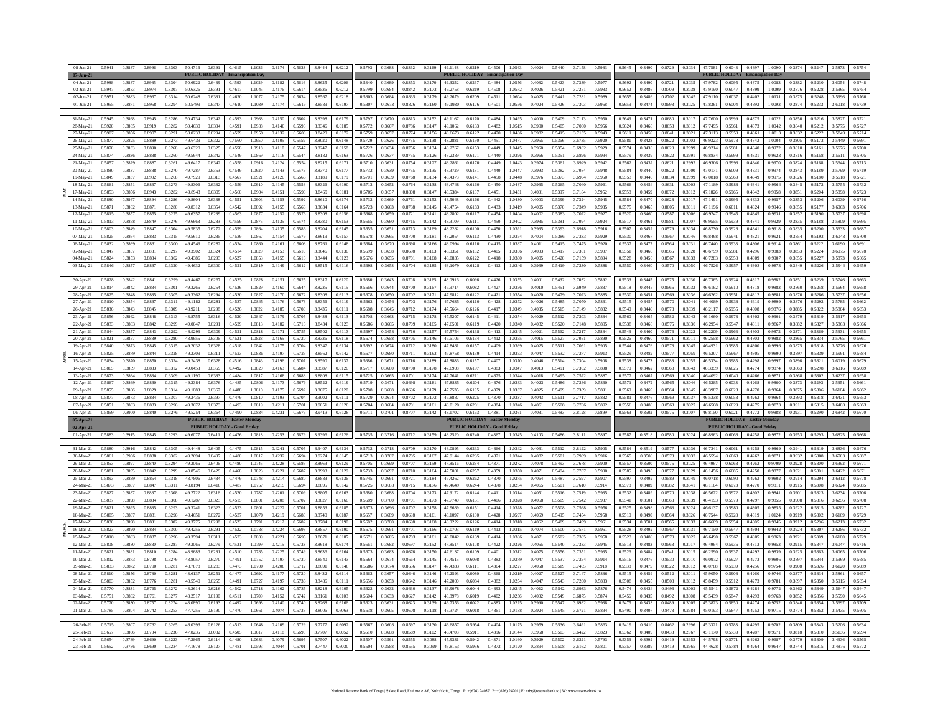| 16-Apr-21    |        |        | 1.884  |        |         |        |                                       |        |        |        |        | 0.6142 |        |        |        |        |          |                                      |        |        |        |        | .727   | 0.591  |        |        |        |                      |         |        |                                       | 0.9890 |        |        |        | 0.5684 |
|--------------|--------|--------|--------|--------|---------|--------|---------------------------------------|--------|--------|--------|--------|--------|--------|--------|--------|--------|----------|--------------------------------------|--------|--------|--------|--------|--------|--------|--------|--------|--------|----------------------|---------|--------|---------------------------------------|--------|--------|--------|--------|--------|
| $15-Apr-21$  | 0.5834 | 0.3870 | 0.8850 | 0.3324 | 49.2438 | 0.6328 | 0.4516                                | 1.0843 | 0.4196 | 0.5707 | 3.8590 | 0.6137 | 0.5686 | 0.3671 | 0.8716 | 0.3189 | 47.8886  | 0.6157                               | 0.4407 | 1.0370 | 0.4046 | 0.5514 | 3.7304 | 0.5908 | 0.5538 | 0.3473 | 0.8583 | 0.3055               | 46.5334 | 0.5985 | 0.4298                                | 0.9897 | 0.3896 | 0.5321 | 3.6019 | 0.5679 |
| 14-Apr-21    | 0.5865 | 0.3859 | 0.8833 | 0.3312 | 49,0458 | 0.6369 | 0.4492                                | 1.0820 | 0.4163 | 0.5684 | 3.8587 | 0.6126 | 0.5717 | 0.3660 | 0.8700 | 0.3178 | 47 6908  | 0.6197                               | 0.4383 | 1.0347 | 0.4013 | 0.5491 | 3.7302 | 0.5898 | 0.5570 | 0.3462 | 0.8568 | 0.3043               | 463359  | 0.6025 | 0.4274                                | 0.9874 | 0.3863 | 0.5298 | 3.6016 | 0.5669 |
| $13-Apr-21$  | 0.5873 | 0.3864 | 0.8834 | 0.3309 | 49.1190 | 0.6383 | 0.4484                                | 1.0817 | 0.4168 | 0.5688 | 3.8808 | 0.6115 | 0.5725 | 0.3665 | 0.8701 | 0.3174 | 47.7641  | 0.6211                               | 0.4375 | 1.0344 | 0.4018 | 0.5495 | 3.7522 | 0.5887 | 0.5577 | 0.3467 | 0.8569 | 0.3040               | 46.4092 | 0.6040 | 0.4266                                | 0.987  | 0.3868 | 0.5302 | 3.6237 | 0.5658 |
| $12-Apr-21$  | 0.5867 | 0.3869 | 0.8830 | 0.3315 | 49.2384 | 0.6376 | 0.4485                                | 1.0806 | 0.4173 | 0.5679 | 3.8522 | 0.6119 | 0.5719 | 0.3671 | 0.8698 | 0.3181 | 47.8835  | 0.6204                               | 0.4376 | 1.0333 | 0.4023 | 0.5486 | 3.7236 | 0.5890 | 0.5571 | 0.3472 | 0.8565 | 0.3046               | 46,5285 | 0.6033 | 0.4268                                | 0.9860 | 0.3873 | 0.5293 | 3.5951 | 0.5661 |
| 09-Apr-21    | 0.5855 | 0.3866 | 0.8829 | 0.3314 | 49.1083 | 0.6367 | 0.4488                                | 1.0810 | 0.4175 | 0.5692 | 3.8675 | 0.6120 | 0.5708 | 0.3668 | 0.8696 | 0.3179 | 47.7535  | 0.6195                               | 0.4379 | 1.0337 | 0.4025 | 0.5499 | 3.7389 | 0.5891 | 0.5560 | 0.3469 | 0.8564 | 0.3045               | 46.3987 | 0.6023 | 0.4270                                | 0.9864 | 0.3875 | 0.5306 | 3.6104 | 0.5662 |
| 08-Apr-21    | 0.5877 | 0.3873 | 0.8834 | 0.3307 | 49.2436 | 0.6397 | 0.4479                                | 1.0810 | 0.4193 | 0.5704 | 3.9002 | 0.611  | 0.5729 | 0.3674 | 0.8702 | 0.3172 | 47.8887  | 0.6225                               | 0.4370 | 1.0337 | 0.4043 | 0.5511 | 3.7717 | 0.5882 | 0.5581 | 0.3476 | 0.8569 | 0.3037               | 46.5338 | 0.6053 | 0.4262                                | 0.9864 | 0.3893 | 0.5318 | 3.6431 | 0.5653 |
| 07-Apr-21    | 0.5851 | 0.3883 | 0.8833 | 0.3296 | 49.3672 | 0.6373 | 0.4493                                | 1.0819 | 0.4211 | 0.5701 | 3.9051 | 0.6120 | 0.5704 | 0.3684 | 0.8701 | 0.3161 | 48 01 20 | 0.6201                               | 0.4384 | 1.0346 | 0.4061 | 0.5508 | 3.7766 | 0.5892 | 0.5556 | 0.3486 | 0.8568 | 0.3023               | 46.6568 | 0.6029 | 0.4275                                | 0.987  | 0.391  | 0.5315 | 3.6480 | 0.5663 |
| $06$ -Apr-21 | 0.5859 | 0.3900 | 0.8840 | 0.3276 | 49.5254 | 0.6364 | 0.4490                                | 1.0834 | 0.4231 | 0.5676 | 3.9413 | 0.6128 | 0.5711 | 0.3701 | 0.8707 | 0.3142 | 48.1702  | 0.6193                               | 0.4381 | 1.0361 | 0.4081 | 0.5483 | 3.8128 | 0.5899 | 0.5563 | 0.3502 | 0.8575 | 0.3007               | 46.8150 | 0.6021 | 0.4272                                | 0.9888 | 0.3931 | 0.5290 | 3.6842 | 0.5670 |
| 05-Apr-21    |        |        |        |        |         |        | <b>PUBLIC HOLIDAY - Easter Monday</b> |        |        |        |        |        |        |        |        |        |          | <b>PUBLIC HOLIDAY - Easter Monda</b> |        |        |        |        |        |        |        |        |        |                      |         |        | <b>PUBLIC HOLIDAY - Easter Monday</b> |        |        |        |        |        |
| 02-Apr-21    |        |        |        |        |         |        | <b>PUBLIC HOLIDAY - Good Friday</b>   |        |        |        |        |        |        |        |        |        |          | <b>PUBLIC HOLIDAY - Good Friday</b>  |        |        |        |        |        |        |        |        |        |                      |         |        | <b>PUBLIC HOLIDAY - Good Friday</b>   |        |        |        |        |        |
| 01-Apr-21    | 0.5883 | 0.3915 | 0.8845 | 0.3293 | 49.6077 | 0.6411 | 0.4476                                | 1.0818 | 0.4253 | 0.5679 | 3.9396 | 0.6126 | 0.5735 | 0.3716 | 0.8712 | 0.3159 | 48.2520  | 0.6240                               | 0.4367 | 1.0345 | 0.4103 | 0.5486 | 3.8111 | 0.5897 | 0.5587 | 0.3518 | 0.8580 | 0.3024               | 46,8963 | 0.6068 | 0.4258                                | 0.9872 | 0.3953 | 0.5293 | 3.6825 | 0.5668 |
|              |        |        |        |        |         |        |                                       |        |        |        |        |        |        |        |        |        |          |                                      |        |        |        |        |        |        |        |        |        |                      |         |        |                                       |        |        |        |        |        |
| 31-Mar-21    | 0.5880 | 0.3916 | 0.8842 | 0.3305 | 49.4448 | 0.6405 | 0.4475                                | 1.0815 | 0.4241 | 0.5705 | 3.9407 | 0.6134 | 0.5732 | 0.3718 | 0.8709 | 0.3170 | 48.0895  | 0.6233                               | 0.4366 | 1.0342 | 0.4091 | 0.5512 | 3.8122 | 0.5905 | 0.5584 | 0.3519 | 0.8577 | 0.3036               | 46.7341 | 0.6061 | 0.4258                                | 0.9869 | 0.3941 | 0.5319 | 3.6836 | 0.5676 |
| 30-Mar-21    | 0.5861 | 0.3906 | 0.8838 | 0.3302 | 49.2694 | 0.6407 | 0.4480                                | 1.0817 | 0.4232 | 0.5694 | 3.9274 | 0.6145 | 0.5713 | 0.3707 | 0.8705 | 0.3167 | 47.9144  | 0.6235                               | 0.4371 | 1.0344 | 0.4082 | 0.5501 | 3.7989 | 0.5916 | 0.5565 | 0.3508 | 0.8573 | 0.3032               | 46,5594 | 0.6063 | 0.4262                                | 0.987  | 0.3932 | 0.5308 | 3.6703 | 0.5687 |
| 29-Mar-21    | 0.5853 | 0.3897 | 0.8840 | 0.3294 | 49.2066 | 0.6406 | 0.4480                                | 1.0745 | 0.4228 | 0.5686 | 3.8963 | 0.6129 | 0.5705 | 0.3699 | 0.8707 | 0.3159 | 47.8516  | 0.6234                               | 0.4371 | 1.0272 | 0.4078 | 0.5493 | 3.7678 | 0.5900 | 0.5557 | 0.3500 | 0.8575 | 0.3025               | 46.4967 | 0.6063 | 0.4262                                | 0.9799 | 0.3928 | 0.5300 | 3.6392 | 0.5671 |
| 26-Mar-21    | 0.5881 | 0.3895 | 0.8842 | 0.3299 | 48.8546 | 0.6429 | 0.4468                                | 1.0823 | 0.4221 | 0.5687 | 3.8993 | 0.6129 | 0.5733 | 0.3697 | 0.8710 | 0.3164 | 47.5001  | 0.6257                               | 0.4359 | 1.0350 | 0.407  | 0.5494 | 3.7707 | 0.5900 | 0.5585 | 0.3498 | 0.857  | 0.3029               | 46.1456 | 0.6085 | 0.4250                                | 0.9877 | 0.3921 | 0.5301 | 3.6422 | 0.5671 |
| 25-Mar-21    | 0.5893 | 0.3889 | 0.8854 | 0.3318 | 48,7806 | 0.6434 | 0.4479                                | 1.0748 | 0.4214 | 0.5680 | 3 8883 | 0.6136 | 0.5745 | 0.3691 | 0.8721 | 0.3184 | 47.4262  | 0.6262                               | 0.4370 | 1.0275 | 0.4064 | 0.5487 | 3.7597 | 0.5907 | 0.5597 | 0.3497 | 0.8589 | 0.3049               | 46.0718 | 0.6090 | 0.4262                                | 0.9802 | 0.3914 | 0.5294 | 3.6312 | 0.5678 |
| 24-Mar-21    | 0.5873 | 0.3887 | 0.8847 | 0.3311 | 48.8194 | 0.6416 | 0.4487                                | 1.0757 | 0.4215 | 0.5694 | 3.8895 | 0.6142 | 0.5725 | 0.3688 | 0.8715 | 0.3176 | 47.4649  | 0.6244                               | 0.4378 | 1.0284 | 0.4065 | 0.5501 | 3.7610 | 0.5914 | 0.5578 | 0.3489 | 0.8582 | 0.3041               | 46.1104 | 0.6073 | 0.4270                                | 0.9811 | 0.3915 | 0.5308 | 3.6324 | 0.5685 |
| 23-Mar-2     | 0.5827 | 0.3887 | 0.8837 | 0.3308 | 49.2722 | 0.6316 | 0.4520                                | 1.0787 | 0.4201 | 0.5709 | 3.8805 | 0.6163 | 0.5680 | 0.3688 | 0.8704 | 0.3173 | 47.9172  | 0.6144                               | 0.4411 | 1.0314 | 0.4051 | 0.5516 | 3.7519 | 0.5935 | 0.5532 | 0.3489 | 0.8570 | 0.3038               | 46.5622 | 0.5972 | 0.4302                                | 0.9841 | 0.3901 | 0.5323 | 3.6234 | 0.5706 |
| 22-Mar-21    | 0.5837 | 0.3898 | 0.8834 | 0.3308 | 49.1287 | 0.6323 | 0.4515                                | 1.080  | 0.4208 | 0.5702 | 3.882  | 0.6166 | 0.5689 | 0.3700 | 0.8701 | 0.3173 | 47 7740  | 0.6151                               | 0.4406 | 1.0328 | 0.4058 | 0.5509 | 3.7542 | 0.593  | 0.5541 | 0.3501 | 0.8568 | 0.3039               | 464193  | 0.597  | 0.4297                                | 0.985: | 0.3908 | 0.5316 | 3.6256 | 0.5708 |
| 19-Mar-21    | 0.5821 | 0.3895 | 0.8835 | 0.3293 | 49.3241 | 0.6323 | 0.4523                                | 1.0801 | 0.4222 | 0.5701 | 3.8853 | 0.6185 | 0.5673 | 0.3696 | 0.8702 | 0.3158 | 47.9689  | 0.6151                               | 0.4414 | 1.0328 | 0.4072 | 0.5508 | 3.7568 | 0.5956 | 0.5525 | 0.3498 | 0.8568 | 0.3024               | 46.6137 | 0.5980 | 0.4305                                | 0.9855 | 0.3922 | 0.5315 | 3.6282 | 0.5727 |
| 18-Mar-21    | 0.5805 | 0.3887 | 0.8831 | 0.3296 | 49.4651 | 0.6272 | 0.4537                                | 1.1070 | 0.4219 | 0.5688 | 3.8740 | 0.6187 | 0.5657 | 0.3689 | 0.8698 | 0.3161 | 48.1097  | 0.6100                               | 0.4428 | 1.0597 | 0.4069 | 0.5495 | 3.7454 | 0.5958 | 0.5510 | 0.3490 | 0.8564 | 0.3026               | 46.7544 | 0.5928 | 0.4319                                | 1.0124 | 0.3919 | 0.5302 | 3.6169 | 0.5729 |
| 17-Mar-21    | 0.5830 | 0.3898 | 0.8831 | 0.3302 | 49.3775 | 0.6298 | 0.4523                                | 1.079  | 0.4212 | 0.5682 | 3.8784 | 0.6190 | 0.5682 | 0.3700 | 0.8698 | 0.3168 | 48.0222  | 0.6126                               | 0.4414 | 1.0318 | 0.4062 | 0.5489 | 3.7499 | 0.5961 | 0.5534 | 0.3501 | 0.8565 | 0.3033               | 46,6669 | 0.5954 | 0.4305                                | 0.9845 | 0.3912 | 0.5296 | 3.6213 | 0.5732 |
| 16-Mar-21    | 0.5823 | 0.3890 | 0.8834 | 0.3300 | 49.4256 | 0.6291 | 0.4522                                | 1.0788 | 0.4224 | 0.5693 | 3.8857 | 0.6190 | 0.5675 | 0.3691 | 0.8701 | 0.3166 | 48.0703  | 0.6119                               | 0.4413 | 1.0315 | 0.4074 | 0.5500 | 3.7571 | 0.5961 | 0.5528 | 0.3492 | 0.8567 | 0.303                | 46.7150 | 0.5947 | 0.4304                                | 0.9842 | 0.3924 | 0.5307 | 3.6286 | 0.5732 |
| 15-Mar-21    | 0.5818 | 0.3883 | 0.8837 | 0.3296 | 49.3594 | 0.6311 | 0.4523                                | 1.0809 | 0.4221 | 0.5695 | 3.8671 | 0.6187 | 0.5671 | 0.3685 | 0.8703 | 0.3161 | 48,0042  | 0.6139                               | 0.4414 | 1.0336 | 0.4071 | 0.5502 | 3.7385 | 0.5958 | 0.5523 | 0.3486 | 0.8570 | 0.3027               | 46,6490 | 0.5967 | 0.4305                                | 0.9863 | 0.3921 | 0.5309 | 3.6100 | 0.5729 |
| $12-Mar-21$  | 0.5808 | 0.3880 | 0.8830 | 0.3287 | 49.2065 | 0.6279 | 0.4531                                | 1.0799 | 0.4215 | 0.5733 | 3.8618 | 0.6174 | 0.5661 | 0.3682 | 0.8697 | 0.3152 | 47.8514  | 0.6108                               | 0.4422 | 1.0326 | 0.4065 | 0.5540 | 3.7333 | 0.5945 | 0.5513 | 0.3483 | 0.8563 | 0.3017               | 46.4964 | 0.5936 | 0.4313                                | 0.9853 | 0.3915 | 0.5347 | 3.6047 | 0.5716 |
| $11-Mar-21$  | 0.5821 | 0.3881 | 0.8810 | 0.3284 | 48.9683 | 0.6281 | 0.4510                                | 1.0785 | 0.4225 | 0.5749 | 3.8636 | 0.6164 | 0.5673 | 0.3683 | 0.8676 | 0.3150 | 47.6137  | 0.6109                               | 0.4401 | 1.0312 | 0.407  | 0.5556 | 3.7351 | 0.5935 | 0.5526 | 0.3484 | 0.8541 | $0.301$ <sup>*</sup> | 46 2590 | 0.5937 | 0.4292                                | 0.983  | 0.3925 | 0.5363 | 3.6065 | 0.5706 |
| $10-Mar-2$   | 0.5812 | 0.3873 | 0.8798 | 0.3279 | 48.8057 | 0.6270 | 0.4491                                | 1.0752 | 0.4197 | 0.5730 | 3.8540 | 0.6143 | 0.5664 | 0.3674 | 0.8664 | 0.3145 | 47.4515  | 0.6098                               | 0.4382 | 1.0279 | 0.4047 | 0.5537 | 3.7254 | 0.5914 | 0.5516 | 0.3476 | 0.8530 | 0.3010               | 46.0972 | 0.5927 | 0.4273                                | 0.9806 | 0.3897 | 0.5344 | 3.5969 | 0.5685 |
| 09-Mar-21    | 0.5833 | 0.3872 | 0.8790 | 0.3281 | 48,7878 | 0.6283 | 0.4473                                | 1.0700 | 0.4208 | 0.5712 | 3.8691 | 0.6146 | 0.5686 | 0.3674 | 0.8656 | 0.3147 | 47.4333  | 0.6111                               | 0.4364 | 1.0227 | 0.4058 | 0.5519 | 3.7405 | 0.5918 | 0.5538 | 0.3475 | 0.8522 | 0.3012               | 46.0788 | 0.5939 | 0.4256                                | 0.9754 | 0.3908 | 0.5326 | 3.6120 | 0.5689 |
| $08-Mar-21$  | 0.5810 | 0.3856 | 0.8780 | 0.3281 | 48.6137 | 0.6251 | 0.4477                                | 1.0692 | 0.4177 | 0.5720 | 3.8432 | 0.611  | 0.5663 | 0.3657 | 0.8646 | 0.3146 | 47.2593  | 0.6080                               | 0.4368 | 1.0219 | 0.4027 | 0.5527 | 3.7147 | 0.5886 | 0.5515 | 0.3459 | 0.8512 | 0.3011               | 45,9050 | 0.5908 | 0.4260                                | 0.9746 | 0.387  | 0.5334 | 3.5861 | 0.5657 |
| 05-Mar-21    | 0.5803 | 0.3852 | 0.8776 | 0.3281 | 48.5540 | 0.6255 | 0.4491                                | 1.0727 | 0.4197 | 0.5736 | 3.8486 | 0.6111 | 0.5656 | 0.3653 | 0.8642 | 0.3146 | 47.2000  | 0.6084                               | 0.4382 | 1.0254 | 0.4047 | 0.5543 | 3.7200 | 0.5883 | 0.5508 | 0.3455 | 0.8508 | 0.3012               | 45.8459 | 0.5912 | 0.4273                                | 0.9781 | 0.3897 | 0.5350 | 3.5915 | 0.5654 |
| 04-Mar-21    | 0.5770 | 0.3831 | 0.8765 | 0.3272 | 48.2614 | 0.6216 | 0.4502                                | 1.0718 | 0.4162 | 0.5735 | 3.8218 | 0.6105 | 0.5622 | 0.3632 | 0.8630 | 0.3137 | 46,9078  | 0.6044                               | 0.4393 | 1.0245 | 0.4012 | 0.5542 | 3.6933 | 0.5876 | 0.5474 | 0.3434 | 0.8496 | 0.3002               | 45.5541 | 0.5872 | 0.4284                                | 0.9772 | 0.3862 | 0.5349 | 3.5647 | 0.5647 |
| $03-Mar-2$   | 0.5751 | 0.3832 | 0.8761 | 0.3277 | 48.2517 | 0.6190 | 0.4511                                | 1.0709 | 0.4152 | 0.5742 | 3.8161 | 0.6103 | 0.5604 | 0.3633 | 0.8627 | 0.3142 | 46.8978  | 0.6019                               | 0.4402 | 1.0236 | 0.4002 | 0.5549 | 3.6875 | 0.5874 | 0.5456 | 0.3435 | 0.8492 | 0.3008               | 45.5439 | 0.5847 | 0.4293                                | 0.9763 | 0.3852 | 0.5356 | 3.5590 | 0.5645 |
| 02-Mar-21    | 0.5770 | 0.3830 | 0.8757 | 0.3274 | 48.0890 | 0.6193 | 0.4492                                | 1.0698 | 0.4140 | 0.5740 | 3.8268 | 0.6166 | 0.5623 | 0.3631 | 0.8623 | 0.3139 | 46.7356  | 0.6022                               | 0.4383 | 1.0225 | 0.3990 | 0.5547 | 3.6982 | 0.5938 | 0.5475 | 0.3433 | 0.8489 | 0.3005               | 45.3823 | 0.5850 | 0.4274                                | 0.9752 | 0.3840 | 0.5354 | 3.5697 | 0.5709 |
| 01-Mar-21    | 0.5785 | 0.3804 | 0.8742 | 0.3253 | 47.7255 | 0.6190 | 0.4470                                | 1.0661 | 0.4074 | 0.5738 | 3.8006 | 0.6063 | 0.5638 | 0.3605 | 0.8608 | 0.3118 | 46.3724  | 0.6018                               | 0.4361 | 1.0188 | 0.3924 | 0.5545 | 3.6721 | 0.5834 | 0.5490 | 0.3407 | 0.8473 | 0.2984               | 45.0193 | 0.5847 | 0.4252                                | 0.9715 | 0.3774 | 0.5352 | 3.5435 | 0.5605 |
|              |        |        |        |        |         |        |                                       |        |        |        |        |        |        |        |        |        |          |                                      |        |        |        |        |        |        |        |        |        |                      |         |        |                                       |        |        |        |        |        |
| 26-Feb-21    | 0.5715 | 0.3807 | 0.8732 | 0.3265 | 48.0393 | 0.6126 | 0.4513                                | 1.0648 | 0.4109 | 0.5729 | 3.7777 | 0.6092 | 0.5567 | 0.3608 | 0.8597 | 0.3130 | 46.6857  | 0.5954                               | 0.4404 | 1.0175 | 0.3959 | 0.5536 | 3.6491 | 0.5863 | 0.5419 | 0.3410 | 0.8462 | 0.2996               | 45.3321 | 0.5783 | 0.4295                                | 0.9702 | 0.3809 | 0.5343 | 3.5206 | 0.5634 |
| 25-Feb-21    | 0.5657 | 0.3806 | 0.8704 | 0.3236 | 47.8235 | 0.6082 | 0.4505                                | 1.0617 | 0.4118 | 0.5696 | 3.7707 | 0.6052 | 0.5510 | 0.3608 | 0.8569 | 0.3102 | 46.4703  | 0.5911                               | 0.4396 | 1.0144 | 0.3968 | 0.5503 | 3.6422 | 0.5823 | 0.5362 | 0.3409 | 0.8433 | 0.2967               | 45.1170 | 0.5739 | 0.4287                                | 0.9671 | 0.3818 | 0.5310 | 3.5136 | 0.5594 |
| 24-Feb-21    | 0.5654 | 0.3789 | 0.8690 | 0.3223 | 47.2865 | 0.6114 | 0.4480                                | 1.0633 | 0.4079 | 0.5695 | 3.7507 | 0.6022 | 0.5507 | 0.3591 | 0.8555 | 0.3088 | 45.9331  | 0.5942                               | 0.437  | 1.0160 | 0.3929 | 0.5502 | 3.6221 | 0.5793 | 0.5359 | 0.3392 | 0.8419 | 0.2953               | 44.5798 | 0.5771 | 0.4262                                | 0.9687 | 0.3779 | 0.5309 | 3.4936 | 0.5565 |
| 23-Feb-21    | 0.5652 | 0.3786 | 0.8690 | 0.3234 | 47.1678 | 0.6127 | 0.4481                                | 1.0593 | 0.4044 | 0.5701 | 3.7447 | 0.6030 | 0.5504 | 0.3588 | 0.8555 | 0.3099 | 45.8153  | 0.5956                               | 0.4372 | 1.0120 | 0.3894 | 0.5508 | 3.6162 | 0.5801 | 0.5357 | 0.3389 | 0.8419 | 0.2965               | 44.4628 | 0.5784 | 0.4264                                | 0.9647 | 03744  | 0.5315 | 3.4876 | 0.5572 |

|              |        |        |        |        |            |        | <b>DUDLIC HOLIDAY</b> Cood Friday     |        |        |        |        |        |        |        |        |        |         | <b>DUDI IC HOLIDAY</b> Cood Friday    |        |        |        |        |        |        |        |        |        |        |         |        | <b>DUDI IC HOLIDAY</b> Cood Friday    |        |        |        |        |               |
|--------------|--------|--------|--------|--------|------------|--------|---------------------------------------|--------|--------|--------|--------|--------|--------|--------|--------|--------|---------|---------------------------------------|--------|--------|--------|--------|--------|--------|--------|--------|--------|--------|---------|--------|---------------------------------------|--------|--------|--------|--------|---------------|
| 05-Apr-21    |        |        |        |        |            |        | <b>PUBLIC HOLIDAY - Easter Monday</b> |        |        |        |        |        |        |        |        |        |         | <b>PUBLIC HOLIDAY - Easter Monday</b> |        |        |        |        |        |        |        |        |        |        |         |        | <b>PUBLIC HOLIDAY - Easter Monday</b> |        |        |        |        |               |
| 06-Apr-21    | 0.5859 | 0.3900 | 0.8840 | 0.3276 | 49.5254    | 0.6364 | 0.4490                                | 1.0834 | 0.4231 | 0.5676 | 3.9413 | 0.6128 | 0.5711 | 0.3701 | 0.8707 | 0.3142 | 48 1702 | 0.6193                                | 0.4381 | 1.0361 | 0.4081 | 0.5483 | 3.8128 | 0.5899 | 0.5563 | 0.3502 | 0.8575 | 0.3007 | 46.8150 | 0.6021 | 0.4272                                | 0.9888 | 0.3931 | 0.5290 | 3.6842 | 0.5670        |
| 07-Apr-21    | 0.5851 | 0.3883 | 0.8833 | 0.3296 | 49.3672    | 0.6373 | 0.4493                                | 1.0819 | 0.4211 | 0.5701 | 3.9051 | 0.6120 | 0.5704 | 0.3684 | 0.8701 | 0.3161 | 48.0120 | 0.6201                                | 0.4384 | 1.0346 | 0.4061 | 0.5508 | 37766  | 0.5892 | 0.5556 | 0.3486 | 0.8568 | 0.3027 | 46.6568 | 0.6029 | 0.4275                                | 0.9873 | 0.3911 | 0.5315 | 3.6480 | 0.5663        |
| 08-Apr-21    | 0.5877 | 0.3873 | 0.8834 | 0.3307 | 49.2436    | 0.6397 | 0.4479                                | 1.0810 | 0.4193 | 0.5704 | 3.9002 | 0.6111 | 0.5729 | 0.3674 | 0.8702 | 0.3172 | 478887  | 0.6225                                | 0.4370 | 1.0337 | 0.4043 | 0.5511 | 37717  | 0.5882 | 0.5581 | 0.3476 | 0.8569 | 0.3037 | 46 5338 | 0.6053 | 0.4262                                | 0.9864 | 0.3893 | 0.5318 | 3.6431 | 0.5653        |
| 09-Apr-21    | 0.5855 | 0.3866 | 0.8829 | 0.3314 | 49.1083    | 0.6367 | 0.4488                                | 1.0810 | 0.4175 | 0.5692 | 3.8675 | 0.6120 | 0.5708 | 0.3668 | 0.8696 | 0.3179 | 47.7535 | 0.6195                                | 0.4379 | 1.0337 | 0.4025 | 0.5499 | 3.7389 | 0.5891 | 0.5560 | 0.3469 | 0.8564 | 0.3045 | 46.3987 | 0.6023 | 0.4270                                | 0.9864 | 0.3875 | 0.5306 | 3.6104 | 0.5662        |
| 12-Apr-21    | 0.5867 | 0.3869 | 0.8830 | 0.3315 | 49.2384    | 0.6376 | 0.4485                                | 1.0806 | 0.4173 | 0.5679 | 3.8522 | 0.6119 | 0.5719 | 0.3671 | 0.8698 | 0.3181 | 478835  | 0.6204                                | 0.4376 | 1.0333 | 0.4023 | 0.5486 | 37236  | 0.5890 | 0.5571 | 0.3472 | 0.8565 | 0.3046 | 46 5285 | 0.603  | 0.4268                                | 0.9860 | 0.3873 | 0.5293 | 3.5951 | 0.5661        |
| 13-Apr-21    | 0.5873 | 0.3864 | 0.8834 | 0.3309 | 49.1190    | 0.6383 | 0.4484                                | 1.0817 | 0.4168 | 0.5688 | 3.8808 | 0.6115 | 0.5725 | 0.3665 | 0.8701 | 0.3174 | 47.7641 | 0.6211                                | 0.4375 | 1.0344 | 0.4018 | 0.5495 | 3.7522 | 0.5887 | 0.5577 | 0.3467 | 0.8569 | 0.3040 | 46 4092 | 0.6040 | 0.4266                                | 0.9871 | 0.3868 | 0.5302 | 36237  | 0.5658        |
| 14-Apr-21    | 0.5865 | 0.3859 | 0.8833 | 0.3312 | 49.0458    | 0.6369 | 0.4492                                | 1.0820 | 0.4163 | 0.5684 | 38587  | 0.6126 | 0.5717 | 0.3660 | 0.8700 | 0.3178 | 47 6908 | 0.6197                                | 0.4383 | 1.0347 | 0.4013 | 0.5491 | 3.7302 | 0.5898 | 0.5570 | 0.3462 | 0.8568 | 0.3043 | 463359  | 0.6025 | 0.4274                                | 0.9874 | 0.3863 | 0.5298 | 3.6016 | 0.5669        |
| 15-Apr-21    | 0.5834 | 0.3870 | 0.8850 | 0.3324 | 49.2438    | 0.6328 | 0.4516                                | 10843  | 0.4196 | 0.5707 | 3.8590 | 0.6137 | 0.5686 | 0.3671 | 0.871  | 0.3189 | 478886  | 0.6157                                | 0.4407 | 1.0370 | 0.4046 | 0.5514 | 3.7304 | 0.5908 | 0.5538 | 0.3473 | 0.8583 | 0.3055 | 46.5334 | 0.5985 | 0.4298                                | 0.9897 | 0.3896 | 0.532  | 3.6019 | 0.5679        |
| $16$ -Apr-21 | 0.5825 | 0.3879 | 0.8844 | 0.3328 | 49.2309    | 0.6311 | 0.4523                                | 1.0836 | 0.4197 | 0.5725 | 3.8562 | 0.6142 | 0.5677 | 0.3680 | 0.8711 | 0.3193 | 47.8758 | 0.6139                                | 0.4414 | 1.0363 | 0.4047 | 0.5532 | 3.7277 | 0.5913 | 0.5529 | 0.3482 | 0.8577 | 0.3059 | 46.5207 | 0.5967 | 0.4305                                | 0.9890 | 0.3897 | 0.5339 | 3.5991 | 0.5684        |
| 19-Apr-21    | 0.5840 | 0.3873 | 0.8845 | 0.3315 | 49.2032    | 0.6328 | 0.4518                                | 1.0842 | 0.4175 | 0.5704 | 3.8347 | 0.6134 | 0.5692 | 0.3674 | 0.8712 | 0.3180 | 478481  | 0.6157                                | 0.4409 | 1.0369 | 0.4025 | 0.5511 | 3.7061 | 0.5905 | 0.5544 | 0.3476 | 0.8578 | 0.3045 | 46.4931 | 0.5985 | 0.4300                                | 0.9896 | 0.3875 | 0.5318 | 3.5776 | 0.5676        |
| 20-Apr-21    | 0.5821 | 0.3857 | 0.8839 | 0.3280 | 48 9655    | 0.6306 | 0.4521                                | 1.0828 | 0.4165 | 0.5720 | 3.8336 | 0.6118 | 0.5674 | 0.3658 | 0.8705 | 0.3146 | 47 6106 | 0.6134                                | 0.4412 | 1.0355 | 0.4015 | 0.5527 | 3.7051 | 0.5890 | 0.5526 | 0.3460 | 0.8571 | 0.3011 | 46.2558 | 0.5962 | 0.4303                                | 0.9882 | 0.3865 | 0.5334 |        | 0.5661        |
| 21-Apr-21    | 0.5844 | 0.3857 | 0.8843 | 0.3292 | 48 9 2 9 9 | 0.6309 | 0.4521                                | 1.0818 | 0.4171 | 0.5755 | 3.8502 | 0.6113 | 0.5697 | 0.3658 | 0.8710 | 0.3157 | 47 5754 | 0.6138                                | 0.4412 | 1.0345 | 0.4021 | 0.5562 | 3.7217 | 0.5884 | 0.5549 | 0.3460 | 0.8576 | 0.3022 | 46.2209 | 0.5966 | 0.4303                                | 0.9872 | 0.3871 | 0.5369 | 3.5931 | 0.5655        |
| 22-Apr-21    | 0.5833 | 0.3863 | 0.8842 | 0.3299 | 49,0047    | 0.6291 | 0.4529                                | 0813   | 0.4182 | 0.5713 | 3 8434 | 0.612  | 0.5686 | 0.3665 | 0.8709 | 0.3165 | 47 6501 | 0.6119                                | 0.4420 | 1.0340 | 0.4032 | 0.5520 | 3.7148 | 0.5895 | 0.5538 | 0.3466 | 0.8575 | 0.3030 | 46.2954 | 0.5947 | 0.4311                                | 0.9867 | 0.3882 | 0.5327 | 3.5863 | 0.5666        |
| 23-Apr-21    | 0.5856 | 0.3862 | 0.8848 | 0.3313 | 48.8755    | 0.6316 | 0.4520                                | 1 0847 | 0.4179 | 0.5705 | 3.8488 | 0.611  | 0.5708 | 0.3663 | 0.8715 | 0.3178 | 47.5207 | 0.6145                                | 0.441  | 1.0374 | 0.4029 | 0.5512 | 3.7203 | 0.5884 | 0.5560 | 0.3465 | 0.8582 | 0.3043 | 46.1660 | 0.5973 | 0.4302                                | 0.9901 | 0.3879 | 0.5319 | 3.5917 | 0.5655        |
| 26-Apr-21    | 0.5836 | 0.3843 | 0.8845 | 0.3309 | 48.9211    | 0.6298 | 0.4526                                | 1.0822 | 0.4185 | 0.5708 | 3 8435 | 0.6111 | 0.5688 | 0.3645 | 0.8712 | 0.3174 | 47.5664 | 0.6126                                | 0.441' | 1.0349 | 0.4035 | 0.5515 | 3.7149 | 0.5882 | 0.5540 | 0.3446 | 0.8578 | 0.3039 | 46.2117 | 0.5955 | 0.4308                                | 0.9876 | 0.3885 | 0.5322 | 3.5864 | 0.5653        |
| 27-Apr-21    | 0.581  | 0.3854 | 0.8837 | 0.331  | 49.1182    | 0.6281 | 0.4537                                | 1.0845 | 0.4176 | 0.5678 | 3.8356 | 0.6119 | 0.5663 | 0.3656 | 0.8703 | 0.3176 | 47.7635 | 0.6110                                | 0.4428 | 1.0372 | 0.4026 | 0.5485 | 3.7070 | 0.5891 | 0.5515 | 0.3457 | 0.8570 | 0.3041 | 46,4089 | 0.5938 | 0.4319                                | 0.9899 | 0.3876 | 0.5292 | 35785  | 0.5662        |
| 28-Apr-21    | 0.5825 | 0.3848 | 0.8835 | 0.3305 | 49.3362    | 0.6294 | 0.4530                                | 1.0827 | 0.4170 | 0.5672 | 3.8308 | 0.6113 | 0.5678 | 0.3650 | 0.8702 | 0.3171 | 479812  | 0.6122                                | 0.4421 | 1.0354 | 0.4020 | 0.5479 | 3.7023 | 0.5885 | 0.5530 | 0.3451 | 0.8569 | 0.3036 | 46 6262 | 0.5951 | 0.4312                                | 0.9881 | 0.3870 | 0.5286 | 3 5737 | 0.5656        |
| 29-Apr-21    | 0.5814 | 0.3842 | 0.8834 | 0.3301 | 49 3266    | 0.6254 | 04536                                 | 1.0829 | 0.4160 | 0.5644 | 3.8235 | 0.6115 | 0.5666 | 0.3644 | 0.8700 | 0.3167 | 479714  | 0.6082                                | 0.4427 | 1.0356 | 0.4010 | 0.5451 | 3.6949 | 0.5887 | 0.5518 | 0.3445 | 0.8566 | 0.3032 | 46.6162 | 0.5910 | 0.4318                                | 0.9883 | 0.3860 | 0.5258 | 3.5664 | 0.5658        |
| 30-Apr-21    | 0.5828 | 0.3842 | 0.8841 | 0.3299 | 49,4467    | 0.6267 | 0.4535                                | 1.0828 | 0.4151 | 0.5625 | 3.8317 | 0.6120 | 0.5680 | 0.3643 | 0.8708 | 0.3165 | 48 0916 | 0.6096                                | 0.4426 | 1.0355 | 0.4001 | 0.5432 | 3.7032 | 0.5892 | 0.5533 | 0.3445 | 0.8575 | 0.3030 | 46.7365 |        | 0.431                                 | 0.9882 | 0.3851 | 0.5239 | 3 5746 | 0.5663        |
| 03-May-21    | 0.5846 | 0.3857 | 0.8837 | 0.3320 | 49.4632    | 0.6300 | 0.4521                                | 1.0819 | 0.4149 | 0.5612 | 3.8515 | 0.6116 | 0.5698 | 0.3658 | 0.8704 | 0.3185 | 48,1079 | 0.6128                                | 0.4412 | 1.0346 | 0.3999 | 0.5419 | 3.7230 | 0.5888 | 0.5550 | 0.3460 | 0.8570 | 0.3050 | 46.7526 | 0.5957 | 0.4303                                | 0.9873 | 0.3849 | 0.5226 |        | 3.5944 0.5659 |
| 04-May-21    | 0.5824 | 0.3853 | 0.8834 | 0.3302 | 49.4386    | 0.6293 | 0.4527                                | 1.0853 | 0.4155 | 0.5613 | 3.8444 | 0.6123 | 0.5676 | 0.3655 | 0.8701 | 0.3168 | 48.0835 | 0.6122                                | 0.4418 | 1.0380 | 0.4005 | 0.5420 | 3.7159 | 0.5894 | 0.5528 | 0.3456 | 0.8567 | 0.3033 | 46.7283 | 0.5950 | 0.4309                                | 0.9907 | 0.3855 | 0.5227 | 3 5873 | 0.5665        |
|              |        |        |        |        |            |        |                                       |        |        |        |        |        |        |        |        |        |         |                                       |        |        |        |        |        |        |        |        |        |        |         |        |                                       |        |        |        |        |               |

| $01-Jun-21$ | 0.5955 | 0.3871 | 0.8958 | 0.3294 50.5499 |         | 0.6347 |        | 1.1039 | 0.4174 | 0.5619 | 3.8589 | 0.6197 | 0.5807 | 0.3673 | 0.8826 | 0.3160 | 49.1930 | 0.6176 | 0.4501 | 1.0566 | 0.4024 | 0.5426 | 3.7303 | 0.5968 | 0.5659 |        | 0.8693 | 0.3025 | 47.8361  | 0.6004 |        | 1.0093 |        | 0.5233 |        | 3.6018 0.5739 |
|-------------|--------|--------|--------|----------------|---------|--------|--------|--------|--------|--------|--------|--------|--------|--------|--------|--------|---------|--------|--------|--------|--------|--------|--------|--------|--------|--------|--------|--------|----------|--------|--------|--------|--------|--------|--------|---------------|
|             |        |        |        |                |         |        |        |        |        |        |        |        |        |        |        |        |         |        |        |        |        |        |        |        |        |        |        |        |          |        |        |        |        |        |        |               |
| 31-May-21   | 0.5945 | 0.3868 | 0.8945 | 0.3286         |         | 0.6342 | 0.4593 | 1.0968 | 0.4150 | 0.5602 | 3.8398 | 0.6179 | 0.5797 | 0.3670 | 0.8813 |        | 49.1167 |        | 0.4484 | 1.0495 | 0.4000 | 0.5409 | 3.7113 | 0.5950 | 0.5649 | 0.3471 | 0.8680 |        | 47.7600. | 0.5999 | 0.437* |        | 0.3850 |        | 3.5827 |               |
| 28-May-21   | 0.5920 | 0.3865 | 0.8919 | 0.3282         | 50,4630 | 0.6304 | 0.4591 | 1.0988 | 0.4140 | 0.5598 | 3.8346 | 0.6185 | 0.5772 | 0.3667 | 0.8786 | 0.3147 | 49.1062 | 0.6133 | 0.4482 | 1.0515 | 0.3990 | 0.5405 | 3.7060 | 0.5956 | 0.5624 | 0.3468 | 0.8653 | 0.3012 | 47.7495  | 0.5961 | 0.4373 | 1.0042 | 0.3840 | 0.5212 | 35775  | 0.5727        |
| 27-May-21   | 0.5907 | 0.3856 | 0.8907 | 0.3291         | 50.0233 | 0.6294 | 0.4579 | 1.0959 |        | 0.5608 | 3.8420 | 0.6172 | 0.5759 | 0.3657 | 0.8774 | 0.3156 | 48,6673 | 0.6122 | 0.4470 | 1.0486 | 0.3982 | 0.5415 | 3.7135 | 0.5943 | 0.5611 | 0.3459 | 0.8641 | 0.3021 | 47.311   | 0.5950 | 0.4361 | 1.0013 | 0.3832 | 0.5222 | 3.5849 | 0.5714        |
| 26-May-21   | 0.5877 | 0.3825 | 0.8889 | 0.3273         | 49,6439 | 0.6322 | 0.4560 | 1.0950 | 0.4105 | 0.5559 | 3.8020 | 0.6148 | 0.5729 | 0.3626 | 0.8755 | 0.3138 | 48.2881 | 0.6150 | 0.4451 | 1.0477 | 0.3955 | 0.5366 | 3.6735 | 0.5920 | 0.5581 | 0.3428 | 0.8622 | 0.3003 | 46.9323  | 0.5978 | 0.4342 | 1.0004 | 0.3805 |        | \$5449 | 0.569         |
| 25-May-21   | 0.5870 | 0.3833 | 0.8890 | 0.3268         | 49.6320 | 0.6325 | 0.4558 | 1.0918 |        | 0.5547 | 3.8247 | 0.6158 | 0.5722 | 0.3634 | 0.8756 | 0.3134 | 48.2767 | 0.6153 | 0.4449 | 1.0445 | 0.3960 | 0.5354 | 3.6962 | 0.5929 | 0.5574 | 0.3436 | 0.8623 | 0.2999 | 46.9214  | 0.5981 | 0.4340 | 0.9972 | 0.3810 |        | 35676  |               |
| 24-May-21   | 0.5874 | 0.3836 | 0.8888 | 0.3260         | 49,5944 | 0.6342 | 0.4549 | 1.0869 | 0.4116 | 0.5544 | 3.8182 | 0.6163 | 0.5726 | 0.3637 | 0.8755 | 0.3126 | 48.2389 | 0.617  | 0.4440 | 1.0396 | 0.3966 | 0.5351 | 3.6896 | 0.5934 | 0.5579 | 0.3439 | 0.8622 | 0.2991 | 46,8834  | 0.5999 | 0.4331 | 0.9923 | 0.3816 | 0.5158 | 3.5611 | 0.5705        |
| 21-May-21   | 0.5857 | 0.3829 | 0.8887 | 0.3261         | 49.6417 | 0.6342 | 0.4558 | 1.0916 |        | 0.5554 | 3.8215 | 0.6171 | 0.5710 | 0.3631 | 0.8754 | 0.3127 | 48.2861 | 0.6170 | 0.4449 | 1.0443 | 0.3974 | 0.5361 | 3.6929 | 0.5942 | 0.5562 | 0.3432 | 0.862  | 0.2992 | 46.9306  | 0.5998 | 0.4340 | 0.9970 | 0.3824 | 0.5168 | 3.5644 | 0.5713        |
| 20-May-21   | 0.5880 | 0.3837 | 0.8888 | 0.3270         | 49.7287 | 0.6353 | 0.4549 | 1.0920 | 0.4143 | 0.5575 | 3.8370 | 0.6177 | 0.5732 | 0.3639 | 0.8755 | 0.3135 | 48.3729 | 0.6181 | 0.4440 | 1.0447 | 0.3993 | 0.5382 | 3.7084 | 0.5948 | 0.5584 | 0.3440 | 0.8622 | 0.3000 | 47.017   | 0.6009 | 04331  | 0.997  | 0.3843 | 0.5189 | 3 5799 |               |
| 19-May-21   | 0.5849 | 0.3837 | 0.8902 | 0.3268         | 49.7929 | 0.631  | 0.4567 | 1.0921 | 0.4126 | 0.5566 | 3.8189 | 0.6179 | 0.5701 | 0.3639 | 0.8768 | 0.3134 | 48.4373 | 0.6141 | 0.4458 | 1.0448 | 0.3976 | 0.5373 | 3.6904 | 0.5950 | 0.5553 | 0.3440 | 0.8634 | 0.2999 | 47 0818  | 0.5969 | 0.4349 | 0.9975 | 0.3826 | 0.5180 | 3.5618 |               |
| 18-May-21   | 0.5861 | 0.3851 | 0.8897 | 0.3273         | 49.8306 | 0.6332 | 0.4559 | 1.0910 |        | 0.5558 | 3.8326 | 0.6190 |        | 0.3652 | 0.8764 | 0.3138 | 48.4748 | 0.6160 | 0.4450 |        | 0.3995 | 0.5365 | 3.7040 | 0.5961 | 0.5566 | 0.3454 | 0.863  | 0.3003 | 47.1189  | 0.5988 | 0.4341 | 0.9964 | D 3845 |        |        |               |
| 17-May-21   | 0.5853 | 0.3856 | 0.8943 | 0.3282         | 49.8943 | 0.6309 | 0.4560 | 1.0904 | 0.415  | 0.5590 | 3.8469 | 0.6181 | 0.5705 | 0.3657 | 0.8808 | 0.3147 | 48.5384 |        | 0.4451 | 1.0431 | 0.4001 | 0.5397 |        | 0.5952 | 0.5558 | 0.3459 | 0.8672 |        | 47.1826  | 0.5965 | 0.4342 | 0.9958 | 0.3851 | 0.5204 | 3.5898 |               |
| 14-May-21   | 0.5880 | 0.3867 | 0.8894 | 0.3286         | 49,8604 | 0.6338 | 0.4551 | 1.0903 | 0.4153 | 0.5592 | 3.8610 | 0.617  | 0.5732 | 0.3669 | 0.8761 | 0.3152 | 48,5048 | 0.6166 | 0.4442 | 1.0430 | 0.4003 | 0.5399 | 3.7324 | 0.5945 | 0.5584 | 0.3470 | 0.8628 |        | 47.1491  | 0.5995 | 0.4333 | 0.9957 | 0.3853 | 0.5206 | 3.6039 |               |
| 13-May-21   | 0.5871 | 0.3862 | 0.8871 | 0.3280         | 49.8317 | 0.6354 | 0.4542 | 1.0892 |        | 0.5563 | 3863   | 0.6164 |        | 0.3663 | 0.8738 | 0.3145 | 48 4754 | 0.6183 |        | 1.0419 | 0.4005 | 0.5370 | 37349  | 0.5935 | 0.5575 | 0.3465 | 0.8605 |        | 47 1196  | 0.601  | 0.4324 | 0.9946 | 0.3855 |        | 3.6063 | 0.5706        |
| 12-May-21   | 0.5815 | 0.3857 | 0.8855 | 0.3275         | 49 6357 | 0.6289 | 0.4563 | 1.0877 |        | 0.5576 | 3.8308 | 0.6156 | 0.5668 | 0.3659 | 0.8721 |        | 48.2802 |        | 0.4454 | 1.0404 | 0.4002 | 0.5383 | 3.7022 | 0.5927 | 0.5520 | 0.3460 | 0.8587 | 0.3006 | 46.9247  | 0.5945 | 0.4345 | 0.993  | 0.3852 | 0.5190 |        | 0.5698        |
| 11-May-21   | 0.5813 | 0.3858 | 0.8849 | 0.3276         | 49 6663 | 0.6283 | 0.4559 | 1.0875 | 0.4135 | 0.557  | 3.8380 | 0.6153 | 0.5665 | 0.3660 | 0.8715 | 0.3142 | 48.3109 | 0.611  | 0.4450 | 1.0402 | 0.3985 | 0.5381 | 3.7094 | 0.5924 | 0.5517 | 0.3461 | 0.8581 | 0.3003 | 46.9555  | 0.5939 | 0.4341 | 0.9929 | 0.3835 | 0.5188 | 3.5809 | 0.5695        |
| $10-Mav-21$ | 0.5803 | 0.3849 | 0.8847 | 0.3304         | 49.5835 | 0.6272 | 0.4559 | 1.0864 | 0.4135 | 0.5586 | 3.8204 | 0.6145 | 0.5655 | 0.3651 | 0.8713 | 0.3169 | 48.2282 | 0.6100 | 0.4450 | 1.0391 | 0.3985 | 0.5393 | 3.6918 | 0.5916 | 0.5507 | 0.3452 | 0.8579 | 0.3034 | 46.8730  | 0.5928 | 0.4341 | 0.9918 | 0.3835 | 0.5200 | 3.5633 |               |
|             |        |        |        | 0.3315         |         |        | 0.4539 | 1.0867 |        |        | 38619  |        |        | 0.3665 | 0.8700 |        |         |        |        | 1.0394 |        |        |        |        | 0.5530 | 0.3467 | 0.8567 |        |          | 0.5941 |        |        |        | 0.5193 |        |               |
| 07-May-21   | 0.5825 | 0.3864 | 0.8833 |                | 49.5610 | 0.6285 |        |        | 0.4154 | 0.5579 |        | 0.6157 | 0.5678 |        |        | 0.3181 | 48.2054 | 0.6113 | 0.4430 |        | 0.4004 | 0.5386 | 3.7333 | 0.5929 |        |        |        |        | 46.8498  |        | 0.4321 | 0.9921 | 0.3854 |        | 3 6048 |               |
| 06-May-21   | 0.5832 | 0.3869 | 0.8831 | 0.3300         | 49.4549 | 0.6282 | 0.4524 | 1.0860 |        | 0.5608 | 3.8761 | 0.6148 | 0.5684 | 0.3670 | 0.8698 | 0.3166 | 48 0994 | 0.6110 |        | 1.0387 | 0.401  | 0.5415 | 1.7475 | 0.5920 | 0.5537 |        | 0.8564 |        | 46 7440  | 0.5938 | 0.4306 | 0.9914 | 0.3861 |        | 3.6190 | 0.569         |
| $05-May-21$ | 0.5847 | 0.3857 | 0.8831 | 0.3297         | 49.3902 | 0.6324 | 0.4514 | 1.0829 | 0.4153 | 0.5610 | 3.8646 | 0.6136 | 0.5699 | 0.3658 | 0.8698 | 0.3163 | 48.0351 | 0.6152 | 0.4405 | 1.0356 | 0.4003 | 0.5417 | 3.7361 | 0.5907 | 0.5551 | 0.3460 | 0.8565 | 0.3028 | 46,6799  | 0.5981 | 0.4296 | 0.9883 | 0.3853 | 0.5224 | 3.6075 | 0.5678        |
| 04-May-21   | 0.5824 | 0.3853 | 0.8834 | 0.3302         | 49.4386 | 0.6293 | 0.4527 | 1.0853 | 0.4155 | 0.5613 | 3.8444 | 0.6123 | 0.5676 | 0.3655 | 0.8701 | 0.3168 | 48,0835 | 0.6122 | 0.4418 | 1.0380 | 0.4005 | 0.5420 | 3.7159 | 0.5894 | 0.5528 | 0.3456 | 0.8567 | 0.3033 | 46.7283  | 0.5950 | 0.4309 | 0.9907 | 0.3855 | 0.5227 | 3.5873 | 0.5665        |
| 03-May-21   | 0.5846 | 0.3857 | 0.8837 | 0.3320         | 49.4632 | 0.6300 | 0.4521 | 1.0819 | 0.4149 | 0.5612 | 3.8515 | 0.6116 | 0.5698 | 0.3658 | 0.8704 | 0.3185 | 48 1079 | 0.6128 | 0.4412 | 1.0346 | 0.3999 | 0.5419 | 3.7230 | 0.5888 | 0.5550 | 0.3460 | 0.8570 | 0.3050 | 467526   | 0.5957 | 0.4303 | 0.9873 | 0.3849 | 0.5226 | 3.5944 | 0.5659        |

| 08-Jun-21                                                                                                                                                                                                                     |               |  |  |        |                                          |               |  | 0.8996   0.3303   50.4716   0.6391   0.4615   1.1036   0.4174   0.5633   3.8444   0.6212    0.5793   0.3688   0.8862   0.3169   49.1148   0.6219   0.4706   1.056   0.3606   1.056   0.5646   0.5758   0.5645   0.5783   0.36   |  |  |                                          |  |  |  |  |  |                                          |  |  |  |
|-------------------------------------------------------------------------------------------------------------------------------------------------------------------------------------------------------------------------------|---------------|--|--|--------|------------------------------------------|---------------|--|---------------------------------------------------------------------------------------------------------------------------------------------------------------------------------------------------------------------------------|--|--|------------------------------------------|--|--|--|--|--|------------------------------------------|--|--|--|
| $07 - Jun-21$                                                                                                                                                                                                                 |               |  |  |        | <b>PUBLIC HOLIDAY - Emancipation Day</b> |               |  |                                                                                                                                                                                                                                 |  |  | <b>PUBLIC HOLIDAY - Emancipation Day</b> |  |  |  |  |  | <b>PUBLIC HOLIDAY - Emancipation Day</b> |  |  |  |
| $04$ -Jun-21                                                                                                                                                                                                                  | 0.5988 0.3887 |  |  |        |                                          |               |  | 0.8985   0.3304   50.6922   0.6439   0.4593   1.1029   0.4182   0.5616   3.8625   0.6206    0.5840   0.589   0.8853   0.870   49.3352   0.6267   0.4484   1.0556   0.4032   0.5423   3.7339   0.5977    0.569   0.870   0.870   |  |  |                                          |  |  |  |  |  |                                          |  |  |  |
| $03-J$ un- $21$                                                                                                                                                                                                               |               |  |  |        |                                          |               |  | 0.3974 0.3307 50.6326 0.6391 0.4617 1.1045 0.4176 0.5614 3.8536 0.6212 0.5799 0.5684 0.8842 0.3173 49.2758 0.6219 0.4036 1.0572 0.4026 0.5421 3.7251 0.5938 0.6212 3.7251 0.5652 0.3486 0.8709 0.3038 47.9190 0.6047 0.4399 1.0 |  |  |                                          |  |  |  |  |  |                                          |  |  |  |
|                                                                                                                                                                                                                               |               |  |  | 0.4620 |                                          | 1.1077 0.4175 |  | 3,8567   0,6218    0,5803   0,3684   0,8835   0,3179   49,2679   0,6209   0,4511   1,0604   0,4025   0,3741   3,7281   0,5989    0,5655   0,3486   0,8702   0,8702   0,3045   47,9110   0,6037   0,402   1,0131   0,3875   0,   |  |  |                                          |  |  |  |  |  |                                          |  |  |  |
| in a complement against to complement against against against against against against against against against against against against against against against against against against against against against against against |               |  |  |        |                                          |               |  |                                                                                                                                                                                                                                 |  |  |                                          |  |  |  |  |  |                                          |  |  |  |